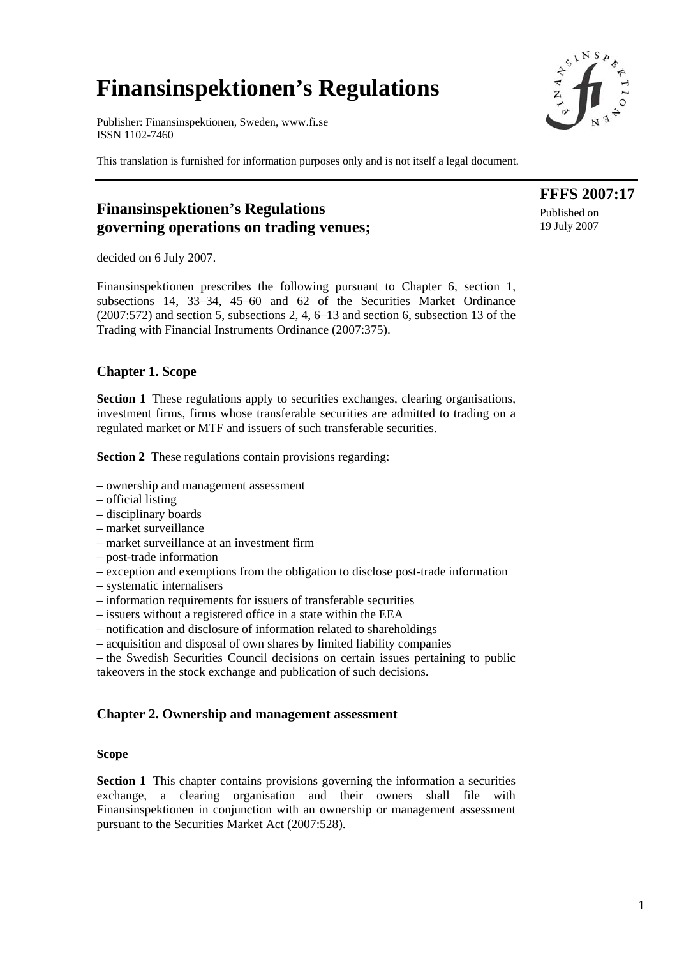## <span id="page-0-0"></span>**Finansinspektionen's Regulations**

Publisher: Finansinspektionen, Sweden, www.fi.se ISSN 1102-7460

This translation is furnished for information purposes only and is not itself a legal document.

## **Finansinspektionen's Regulations governing operations on trading venues;**

decided on 6 July 2007.

Finansinspektionen prescribes the following pursuant to Chapter 6, section 1, subsections 14, 33–34, 45–60 and 62 of the Securities Market Ordinance (2007:572) and section 5, subsections 2, 4, 6–13 and section 6, subsection 13 of the Trading with Financial Instruments Ordinance (2007:375).

## **Chapter 1. Scope**

**Section 1** These regulations apply to securities exchanges, clearing organisations, investment firms, firms whose transferable securities are admitted to trading on a regulated market or MTF and issuers of such transferable securities.

**Section 2** These regulations contain provisions regarding:

- ownership and management assessment
- official listing
- disciplinary boards
- market surveillance
- market surveillance at an investment firm
- post-trade information
- exception and exemptions from the obligation to disclose post-trade information
- systematic internalisers
- information requirements for issuers of transferable securities
- issuers without a registered office in a state within the EEA
- notification and disclosure of information related to shareholdings
- acquisition and disposal of own shares by limited liability companies
- the Swedish Securities Council decisions on certain issues pertaining to public takeovers in the stock exchange and publication of such decisions.

## **Chapter 2. Ownership and management assessment**

## **Scope**

**Section 1** This chapter contains provisions governing the information a securities exchange, a clearing organisation and their owners shall file with Finansinspektionen in conjunction with an ownership or management assessment pursuant to the Securities Market Act (2007:528).



## **FFFS 2007:17**

Published on 19 July 2007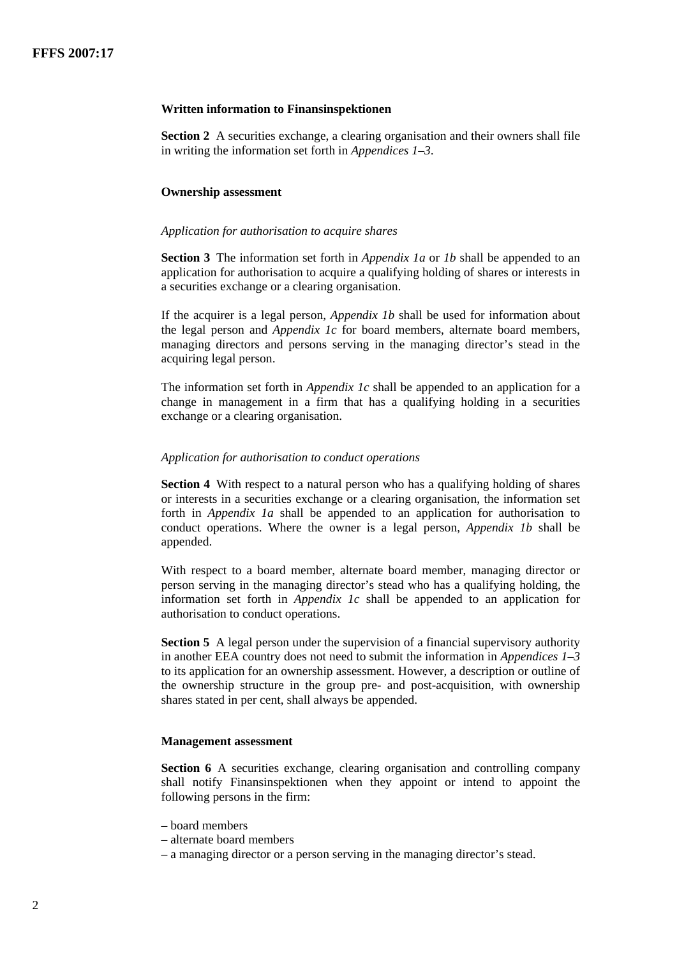#### <span id="page-1-0"></span>**Written information to Finansinspektionen**

**Section 2** A securities exchange, a clearing organisation and their owners shall file in writing the information set forth in *Appendices 1–3*.

## **Ownership assessment**

#### *Application for authorisation to acquire shares*

**Section 3** The information set forth in *Appendix 1a* or *1b* shall be appended to an application for authorisation to acquire a qualifying holding of shares or interests in a securities exchange or a clearing organisation.

If the acquirer is a legal person, *Appendix 1b* shall be used for information about the legal person and *Appendix 1c* for board members, alternate board members, managing directors and persons serving in the managing director's stead in the acquiring legal person.

The information set forth in *Appendix 1c* shall be appended to an application for a change in management in a firm that has a qualifying holding in a securities exchange or a clearing organisation.

#### *Application for authorisation to conduct operations*

**Section 4** With respect to a natural person who has a qualifying holding of shares or interests in a securities exchange or a clearing organisation, the information set forth in *Appendix 1a* shall be appended to an application for authorisation to conduct operations. Where the owner is a legal person, *Appendix 1b* shall be appended.

With respect to a board member, alternate board member, managing director or person serving in the managing director's stead who has a qualifying holding, the information set forth in *Appendix 1c* shall be appended to an application for authorisation to conduct operations.

**Section 5** A legal person under the supervision of a financial supervisory authority in another EEA country does not need to submit the information in *Appendices 1–3*  to its application for an ownership assessment. However, a description or outline of the ownership structure in the group pre- and post-acquisition, with ownership shares stated in per cent, shall always be appended.

#### **Management assessment**

**Section 6** A securities exchange, clearing organisation and controlling company shall notify Finansinspektionen when they appoint or intend to appoint the following persons in the firm:

- board members
- alternate board members
- a managing director or a person serving in the managing director's stead.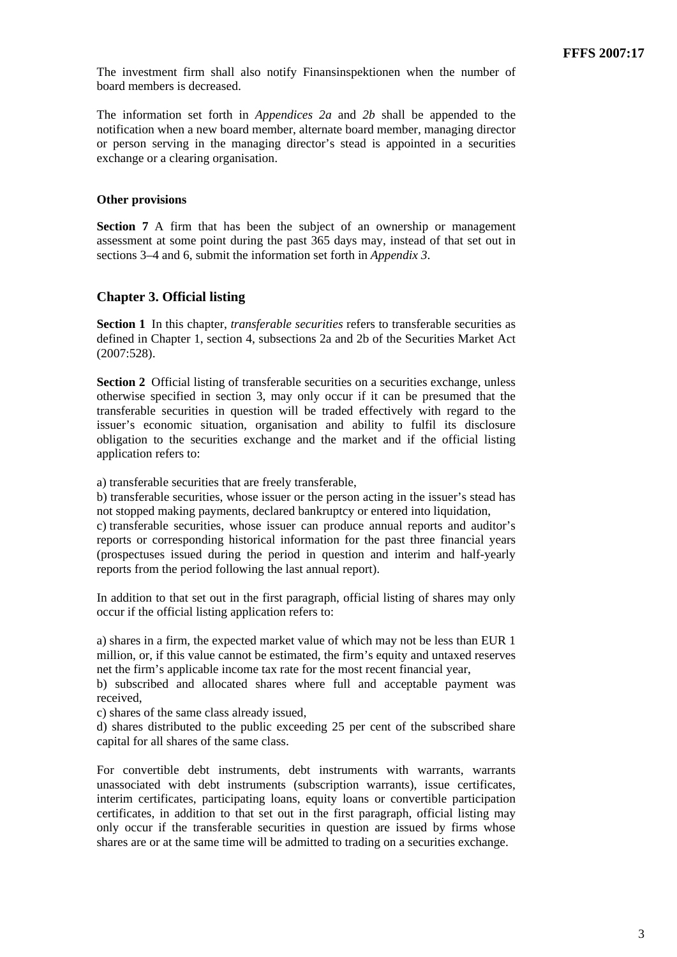<span id="page-2-0"></span>The investment firm shall also notify Finansinspektionen when the number of board members is decreased.

The information set forth in *Appendices 2a* and *2b* shall be appended to the notification when a new board member, alternate board member, managing director or person serving in the managing director's stead is appointed in a securities exchange or a clearing organisation.

#### **Other provisions**

**Section 7** A firm that has been the subject of an ownership or management assessment at some point during the past 365 days may, instead of that set out in sections 3–4 and 6, submit the information set forth in *Appendix 3*.

## **Chapter 3. Official listing**

**Section 1** In this chapter, *transferable securities* refers to transferable securities as defined in Chapter 1, section 4, subsections 2a and 2b of the Securities Market Act (2007:528).

**Section 2** Official listing of transferable securities on a securities exchange, unless otherwise specified in section 3, may only occur if it can be presumed that the transferable securities in question will be traded effectively with regard to the issuer's economic situation, organisation and ability to fulfil its disclosure obligation to the securities exchange and the market and if the official listing application refers to:

a) transferable securities that are freely transferable,

b) transferable securities, whose issuer or the person acting in the issuer's stead has not stopped making payments, declared bankruptcy or entered into liquidation,

c) transferable securities, whose issuer can produce annual reports and auditor's reports or corresponding historical information for the past three financial years (prospectuses issued during the period in question and interim and half-yearly reports from the period following the last annual report).

In addition to that set out in the first paragraph, official listing of shares may only occur if the official listing application refers to:

a) shares in a firm, the expected market value of which may not be less than EUR 1 million, or, if this value cannot be estimated, the firm's equity and untaxed reserves net the firm's applicable income tax rate for the most recent financial year,

b) subscribed and allocated shares where full and acceptable payment was received,

c) shares of the same class already issued,

d) shares distributed to the public exceeding 25 per cent of the subscribed share capital for all shares of the same class.

For convertible debt instruments, debt instruments with warrants, warrants unassociated with debt instruments (subscription warrants), issue certificates, interim certificates, participating loans, equity loans or convertible participation certificates, in addition to that set out in the first paragraph, official listing may only occur if the transferable securities in question are issued by firms whose shares are or at the same time will be admitted to trading on a securities exchange.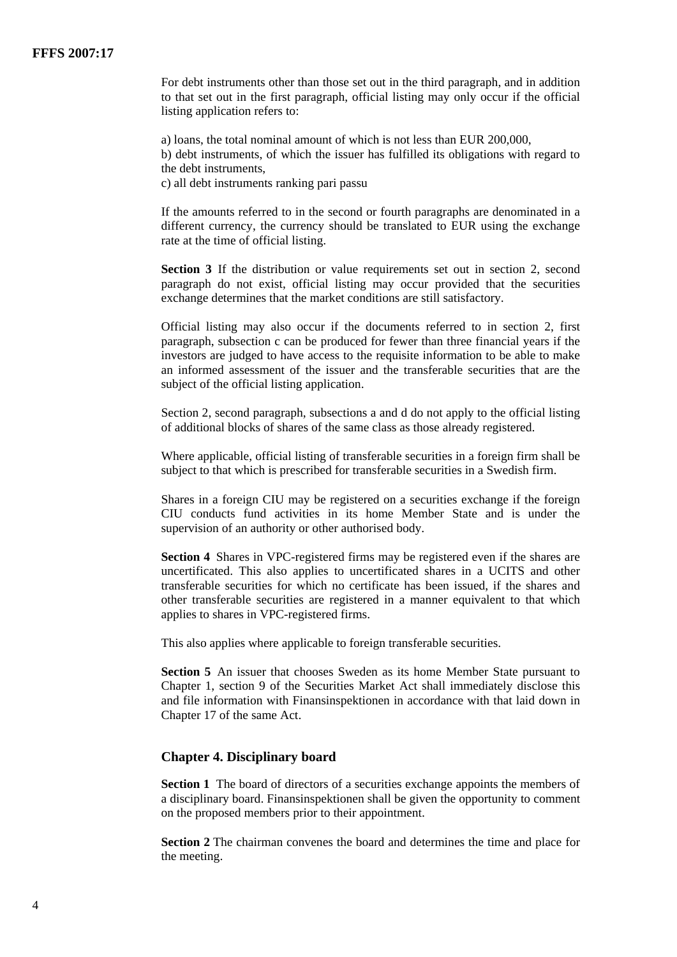<span id="page-3-0"></span>For debt instruments other than those set out in the third paragraph, and in addition to that set out in the first paragraph, official listing may only occur if the official listing application refers to:

a) loans, the total nominal amount of which is not less than EUR 200,000, b) debt instruments, of which the issuer has fulfilled its obligations with regard to the debt instruments,

c) all debt instruments ranking pari passu

If the amounts referred to in the second or fourth paragraphs are denominated in a different currency, the currency should be translated to EUR using the exchange rate at the time of official listing.

**Section 3** If the distribution or value requirements set out in section 2, second paragraph do not exist, official listing may occur provided that the securities exchange determines that the market conditions are still satisfactory.

Official listing may also occur if the documents referred to in section 2, first paragraph, subsection c can be produced for fewer than three financial years if the investors are judged to have access to the requisite information to be able to make an informed assessment of the issuer and the transferable securities that are the subject of the official listing application.

Section 2, second paragraph, subsections a and d do not apply to the official listing of additional blocks of shares of the same class as those already registered.

Where applicable, official listing of transferable securities in a foreign firm shall be subject to that which is prescribed for transferable securities in a Swedish firm.

Shares in a foreign CIU may be registered on a securities exchange if the foreign CIU conducts fund activities in its home Member State and is under the supervision of an authority or other authorised body.

**Section 4** Shares in VPC-registered firms may be registered even if the shares are uncertificated. This also applies to uncertificated shares in a UCITS and other transferable securities for which no certificate has been issued, if the shares and other transferable securities are registered in a manner equivalent to that which applies to shares in VPC-registered firms.

This also applies where applicable to foreign transferable securities.

**Section 5** An issuer that chooses Sweden as its home Member State pursuant to Chapter 1, section 9 of the Securities Market Act shall immediately disclose this and file information with Finansinspektionen in accordance with that laid down in Chapter 17 of the same Act.

## **Chapter 4. Disciplinary board**

**Section 1** The board of directors of a securities exchange appoints the members of a disciplinary board. Finansinspektionen shall be given the opportunity to comment on the proposed members prior to their appointment.

**Section 2** The chairman convenes the board and determines the time and place for the meeting.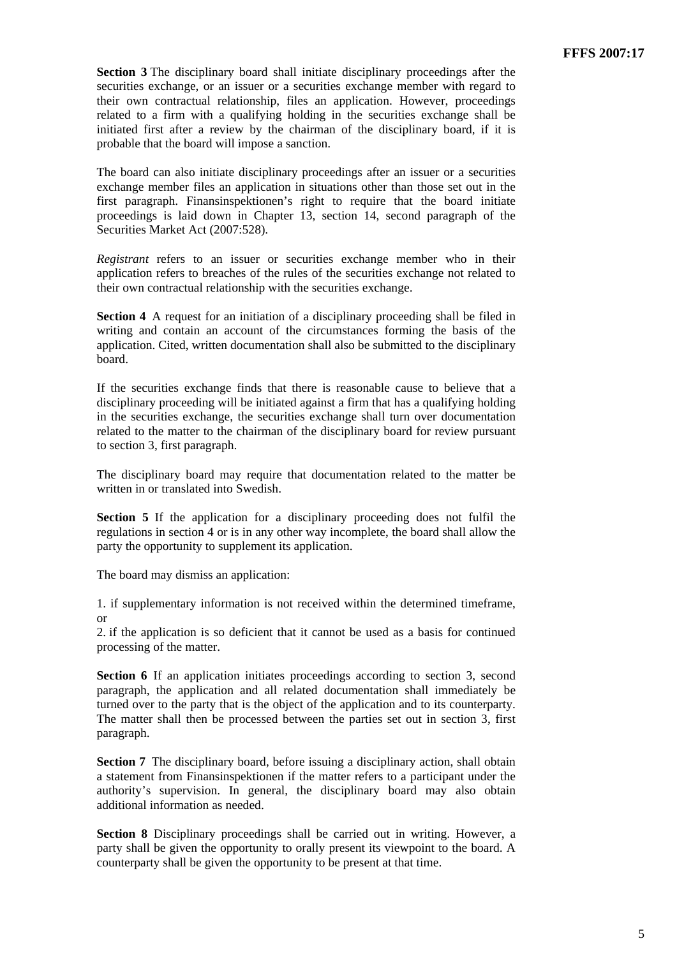**Section 3** The disciplinary board shall initiate disciplinary proceedings after the securities exchange, or an issuer or a securities exchange member with regard to their own contractual relationship, files an application. However, proceedings related to a firm with a qualifying holding in the securities exchange shall be initiated first after a review by the chairman of the disciplinary board, if it is probable that the board will impose a sanction.

The board can also initiate disciplinary proceedings after an issuer or a securities exchange member files an application in situations other than those set out in the first paragraph. Finansinspektionen's right to require that the board initiate proceedings is laid down in Chapter 13, section 14, second paragraph of the Securities Market Act (2007:528).

*Registrant* refers to an issuer or securities exchange member who in their application refers to breaches of the rules of the securities exchange not related to their own contractual relationship with the securities exchange.

**Section 4** A request for an initiation of a disciplinary proceeding shall be filed in writing and contain an account of the circumstances forming the basis of the application. Cited, written documentation shall also be submitted to the disciplinary board.

If the securities exchange finds that there is reasonable cause to believe that a disciplinary proceeding will be initiated against a firm that has a qualifying holding in the securities exchange, the securities exchange shall turn over documentation related to the matter to the chairman of the disciplinary board for review pursuant to section 3, first paragraph.

The disciplinary board may require that documentation related to the matter be written in or translated into Swedish.

**Section 5** If the application for a disciplinary proceeding does not fulfil the regulations in section 4 or is in any other way incomplete, the board shall allow the party the opportunity to supplement its application.

The board may dismiss an application:

1. if supplementary information is not received within the determined timeframe, or

2. if the application is so deficient that it cannot be used as a basis for continued processing of the matter.

**Section 6** If an application initiates proceedings according to section 3, second paragraph, the application and all related documentation shall immediately be turned over to the party that is the object of the application and to its counterparty. The matter shall then be processed between the parties set out in section 3, first paragraph.

**Section 7** The disciplinary board, before issuing a disciplinary action, shall obtain a statement from Finansinspektionen if the matter refers to a participant under the authority's supervision. In general, the disciplinary board may also obtain additional information as needed.

**Section 8** Disciplinary proceedings shall be carried out in writing. However, a party shall be given the opportunity to orally present its viewpoint to the board. A counterparty shall be given the opportunity to be present at that time.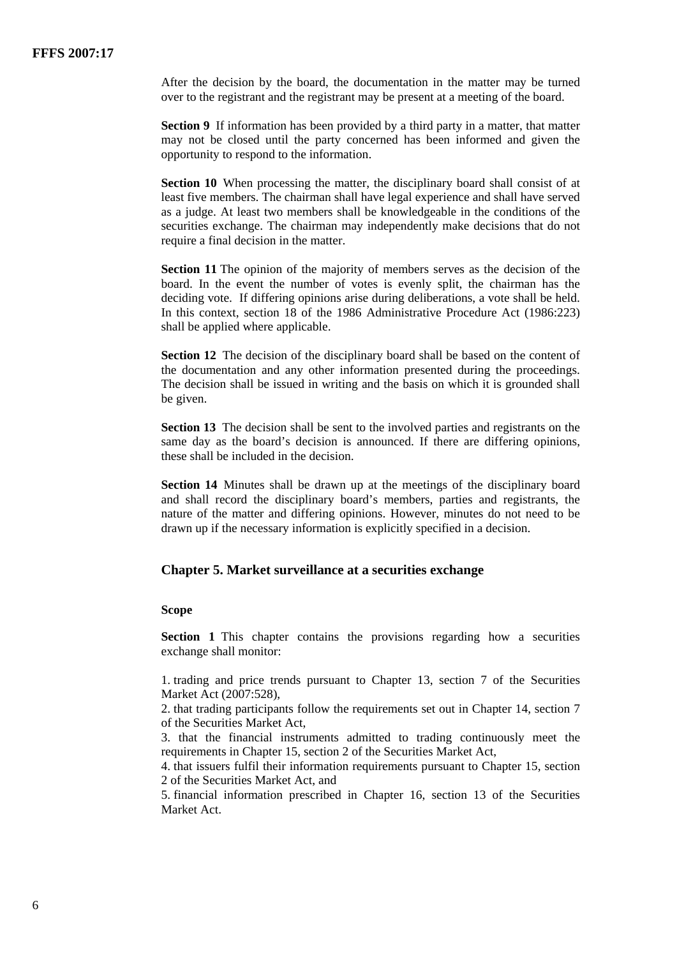<span id="page-5-0"></span>After the decision by the board, the documentation in the matter may be turned over to the registrant and the registrant may be present at a meeting of the board.

**Section 9** If information has been provided by a third party in a matter, that matter may not be closed until the party concerned has been informed and given the opportunity to respond to the information.

**Section 10** When processing the matter, the disciplinary board shall consist of at least five members. The chairman shall have legal experience and shall have served as a judge. At least two members shall be knowledgeable in the conditions of the securities exchange. The chairman may independently make decisions that do not require a final decision in the matter.

**Section 11** The opinion of the majority of members serves as the decision of the board. In the event the number of votes is evenly split, the chairman has the deciding vote. If differing opinions arise during deliberations, a vote shall be held. In this context, section 18 of the 1986 Administrative Procedure Act (1986:223) shall be applied where applicable.

**Section 12** The decision of the disciplinary board shall be based on the content of the documentation and any other information presented during the proceedings. The decision shall be issued in writing and the basis on which it is grounded shall be given.

**Section 13** The decision shall be sent to the involved parties and registrants on the same day as the board's decision is announced. If there are differing opinions, these shall be included in the decision.

**Section 14** Minutes shall be drawn up at the meetings of the disciplinary board and shall record the disciplinary board's members, parties and registrants, the nature of the matter and differing opinions. However, minutes do not need to be drawn up if the necessary information is explicitly specified in a decision.

## **Chapter 5. Market surveillance at a securities exchange**

#### **Scope**

**Section 1** This chapter contains the provisions regarding how a securities exchange shall monitor:

1. trading and price trends pursuant to Chapter 13, section 7 of the Securities Market Act (2007:528),

2. that trading participants follow the requirements set out in Chapter 14, section 7 of the Securities Market Act,

3. that the financial instruments admitted to trading continuously meet the requirements in Chapter 15, section 2 of the Securities Market Act,

4. that issuers fulfil their information requirements pursuant to Chapter 15, section 2 of the Securities Market Act, and

5. financial information prescribed in Chapter 16, section 13 of the Securities Market Act.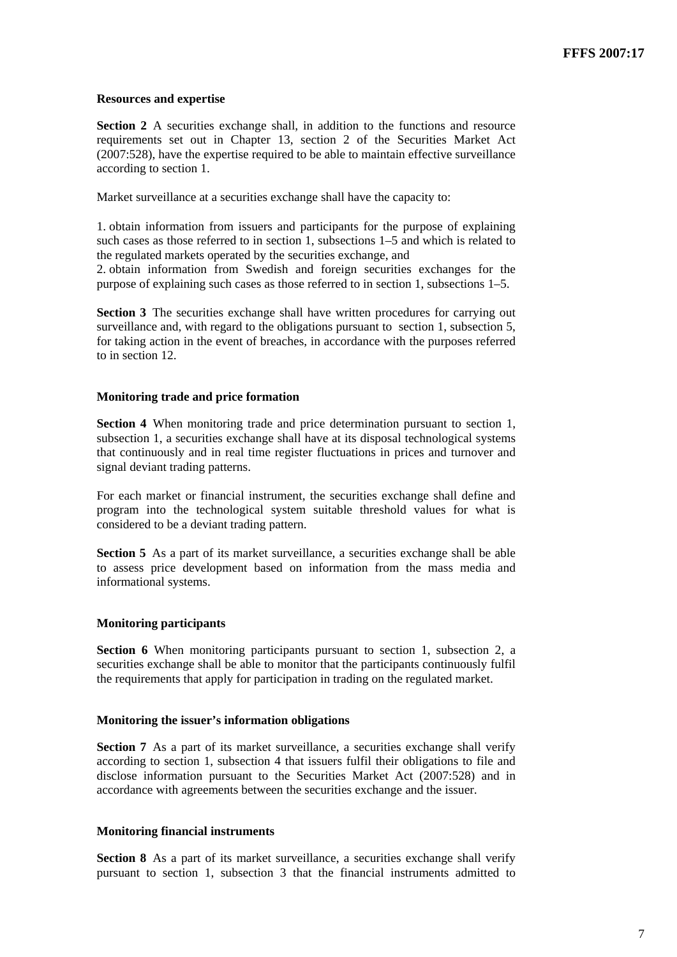#### <span id="page-6-0"></span>**Resources and expertise**

**Section 2** A securities exchange shall, in addition to the functions and resource requirements set out in Chapter 13, section 2 of the Securities Market Act (2007:528), have the expertise required to be able to maintain effective surveillance according to section 1.

Market surveillance at a securities exchange shall have the capacity to:

1. obtain information from issuers and participants for the purpose of explaining such cases as those referred to in section 1, subsections 1–5 and which is related to the regulated markets operated by the securities exchange, and

2. obtain information from Swedish and foreign securities exchanges for the purpose of explaining such cases as those referred to in section 1, subsections 1–5.

**Section 3** The securities exchange shall have written procedures for carrying out surveillance and, with regard to the obligations pursuant to section 1, subsection 5, for taking action in the event of breaches, in accordance with the purposes referred to in section 12.

#### **Monitoring trade and price formation**

**Section 4** When monitoring trade and price determination pursuant to section 1, subsection 1, a securities exchange shall have at its disposal technological systems that continuously and in real time register fluctuations in prices and turnover and signal deviant trading patterns.

For each market or financial instrument, the securities exchange shall define and program into the technological system suitable threshold values for what is considered to be a deviant trading pattern.

**Section 5** As a part of its market surveillance, a securities exchange shall be able to assess price development based on information from the mass media and informational systems.

## **Monitoring participants**

**Section 6** When monitoring participants pursuant to section 1, subsection 2, a securities exchange shall be able to monitor that the participants continuously fulfil the requirements that apply for participation in trading on the regulated market.

#### **Monitoring the issuer's information obligations**

**Section 7** As a part of its market surveillance, a securities exchange shall verify according to section 1, subsection 4 that issuers fulfil their obligations to file and disclose information pursuant to the Securities Market Act (2007:528) and in accordance with agreements between the securities exchange and the issuer.

## **Monitoring financial instruments**

**Section 8** As a part of its market surveillance, a securities exchange shall verify pursuant to section 1, subsection 3 that the financial instruments admitted to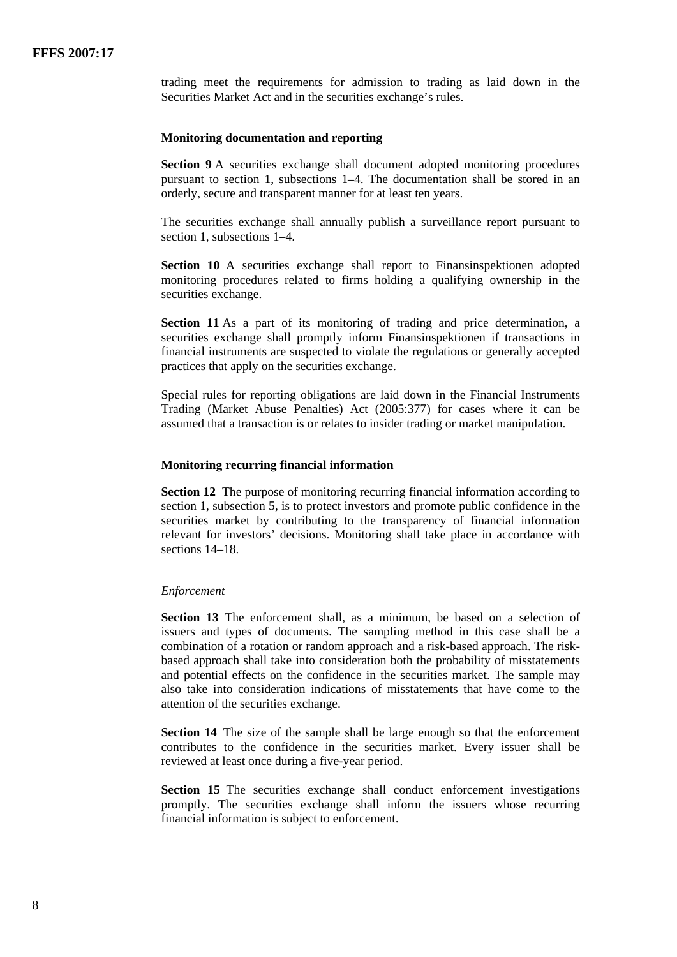<span id="page-7-0"></span>trading meet the requirements for admission to trading as laid down in the Securities Market Act and in the securities exchange's rules.

#### **Monitoring documentation and reporting**

**Section 9** A securities exchange shall document adopted monitoring procedures pursuant to section 1, subsections 1–4. The documentation shall be stored in an orderly, secure and transparent manner for at least ten years.

The securities exchange shall annually publish a surveillance report pursuant to section 1, subsections 1–4.

**Section 10** A securities exchange shall report to Finansinspektionen adopted monitoring procedures related to firms holding a qualifying ownership in the securities exchange.

Section 11 As a part of its monitoring of trading and price determination, a securities exchange shall promptly inform Finansinspektionen if transactions in financial instruments are suspected to violate the regulations or generally accepted practices that apply on the securities exchange.

Special rules for reporting obligations are laid down in the Financial Instruments Trading (Market Abuse Penalties) Act (2005:377) for cases where it can be assumed that a transaction is or relates to insider trading or market manipulation.

#### **Monitoring recurring financial information**

**Section 12** The purpose of monitoring recurring financial information according to section 1, subsection 5, is to protect investors and promote public confidence in the securities market by contributing to the transparency of financial information relevant for investors' decisions. Monitoring shall take place in accordance with sections 14–18.

#### *Enforcement*

**Section 13** The enforcement shall, as a minimum, be based on a selection of issuers and types of documents. The sampling method in this case shall be a combination of a rotation or random approach and a risk-based approach. The riskbased approach shall take into consideration both the probability of misstatements and potential effects on the confidence in the securities market. The sample may also take into consideration indications of misstatements that have come to the attention of the securities exchange.

**Section 14** The size of the sample shall be large enough so that the enforcement contributes to the confidence in the securities market. Every issuer shall be reviewed at least once during a five-year period.

**Section 15** The securities exchange shall conduct enforcement investigations promptly. The securities exchange shall inform the issuers whose recurring financial information is subject to enforcement.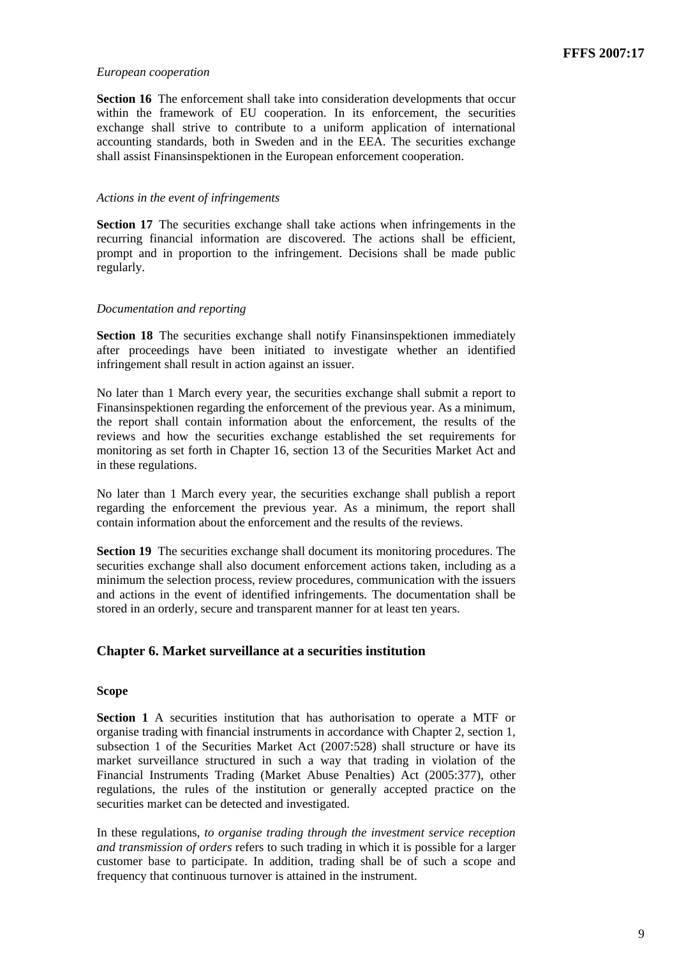#### <span id="page-8-0"></span>*European cooperation*

**Section 16** The enforcement shall take into consideration developments that occur within the framework of EU cooperation. In its enforcement, the securities exchange shall strive to contribute to a uniform application of international accounting standards, both in Sweden and in the EEA. The securities exchange shall assist Finansinspektionen in the European enforcement cooperation.

#### *Actions in the event of infringements*

**Section 17** The securities exchange shall take actions when infringements in the recurring financial information are discovered. The actions shall be efficient, prompt and in proportion to the infringement. Decisions shall be made public regularly.

#### *Documentation and reporting*

**Section 18** The securities exchange shall notify Finansinspektionen immediately after proceedings have been initiated to investigate whether an identified infringement shall result in action against an issuer.

No later than 1 March every year, the securities exchange shall submit a report to Finansinspektionen regarding the enforcement of the previous year. As a minimum, the report shall contain information about the enforcement, the results of the reviews and how the securities exchange established the set requirements for monitoring as set forth in Chapter 16, section 13 of the Securities Market Act and in these regulations.

No later than 1 March every year, the securities exchange shall publish a report regarding the enforcement the previous year. As a minimum, the report shall contain information about the enforcement and the results of the reviews.

**Section 19** The securities exchange shall document its monitoring procedures. The securities exchange shall also document enforcement actions taken, including as a minimum the selection process, review procedures, communication with the issuers and actions in the event of identified infringements. The documentation shall be stored in an orderly, secure and transparent manner for at least ten years.

## **Chapter 6. Market surveillance at a securities institution**

## **Scope**

**Section 1** A securities institution that has authorisation to operate a MTF or organise trading with financial instruments in accordance with Chapter 2, section 1, subsection 1 of the Securities Market Act (2007:528) shall structure or have its market surveillance structured in such a way that trading in violation of the Financial Instruments Trading (Market Abuse Penalties) Act (2005:377), other regulations, the rules of the institution or generally accepted practice on the securities market can be detected and investigated.

In these regulations, *to organise trading through the investment service reception and transmission of orders* refers to such trading in which it is possible for a larger customer base to participate. In addition, trading shall be of such a scope and frequency that continuous turnover is attained in the instrument.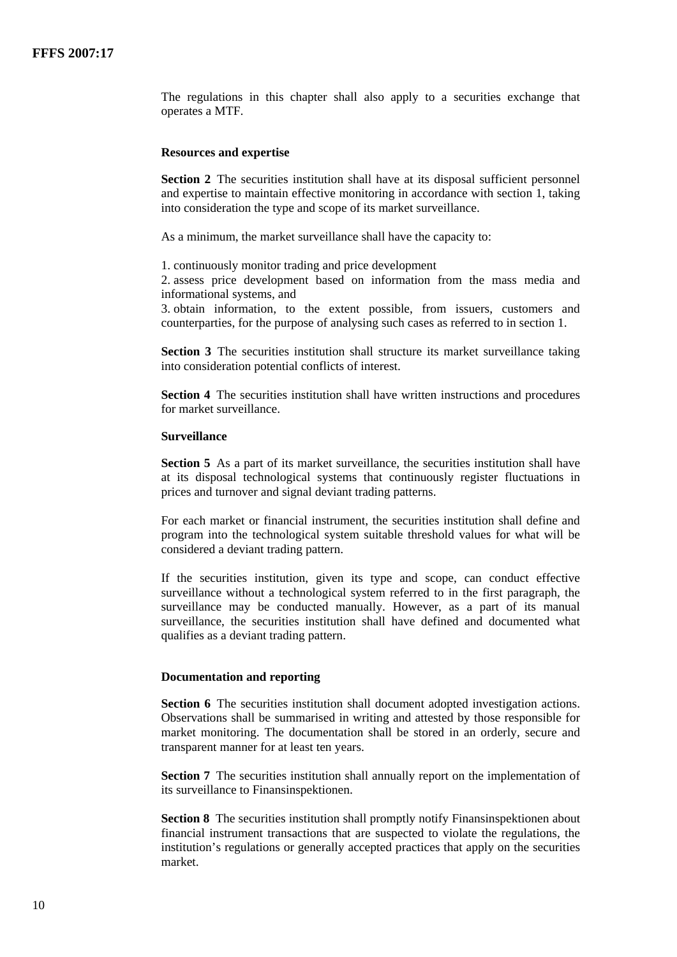<span id="page-9-0"></span>The regulations in this chapter shall also apply to a securities exchange that operates a MTF.

#### **Resources and expertise**

**Section 2** The securities institution shall have at its disposal sufficient personnel and expertise to maintain effective monitoring in accordance with section 1, taking into consideration the type and scope of its market surveillance.

As a minimum, the market surveillance shall have the capacity to:

1. continuously monitor trading and price development

2. assess price development based on information from the mass media and informational systems, and

3. obtain information, to the extent possible, from issuers, customers and counterparties, for the purpose of analysing such cases as referred to in section 1.

**Section 3** The securities institution shall structure its market surveillance taking into consideration potential conflicts of interest.

**Section 4** The securities institution shall have written instructions and procedures for market surveillance.

#### **Surveillance**

**Section 5** As a part of its market surveillance, the securities institution shall have at its disposal technological systems that continuously register fluctuations in prices and turnover and signal deviant trading patterns.

For each market or financial instrument, the securities institution shall define and program into the technological system suitable threshold values for what will be considered a deviant trading pattern.

If the securities institution, given its type and scope, can conduct effective surveillance without a technological system referred to in the first paragraph, the surveillance may be conducted manually. However, as a part of its manual surveillance, the securities institution shall have defined and documented what qualifies as a deviant trading pattern.

#### **Documentation and reporting**

**Section 6** The securities institution shall document adopted investigation actions. Observations shall be summarised in writing and attested by those responsible for market monitoring. The documentation shall be stored in an orderly, secure and transparent manner for at least ten years.

**Section 7** The securities institution shall annually report on the implementation of its surveillance to Finansinspektionen.

**Section 8** The securities institution shall promptly notify Finansinspektionen about financial instrument transactions that are suspected to violate the regulations, the institution's regulations or generally accepted practices that apply on the securities market.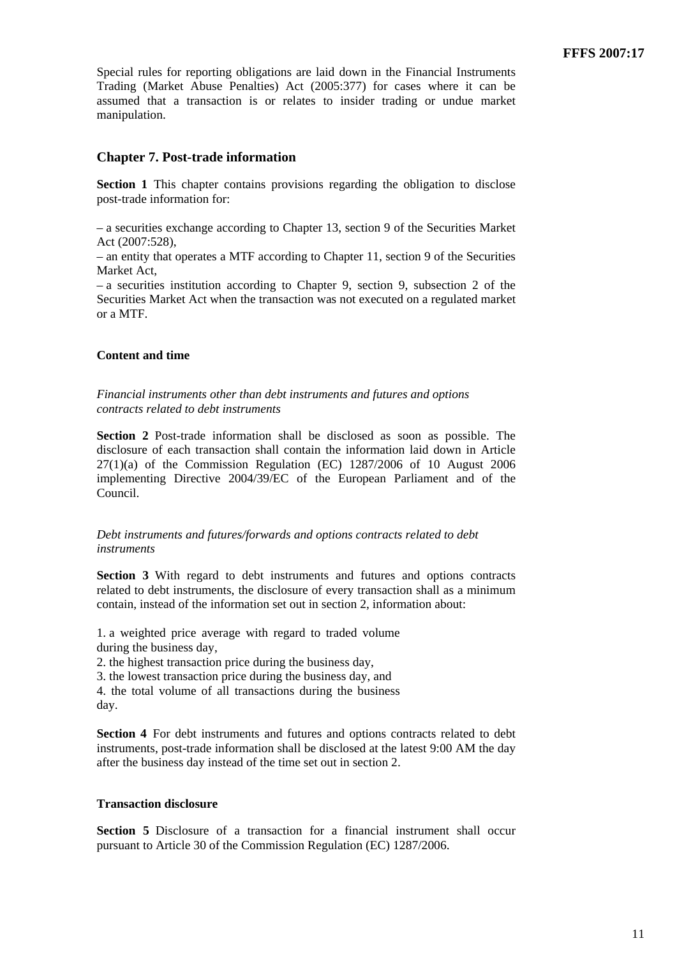<span id="page-10-0"></span>Special rules for reporting obligations are laid down in the Financial Instruments Trading (Market Abuse Penalties) Act (2005:377) for cases where it can be assumed that a transaction is or relates to insider trading or undue market manipulation.

## **Chapter 7. Post-trade information**

**Section 1** This chapter contains provisions regarding the obligation to disclose post-trade information for:

– a securities exchange according to Chapter 13, section 9 of the Securities Market Act (2007:528),

– an entity that operates a MTF according to Chapter 11, section 9 of the Securities Market Act,

– a securities institution according to Chapter 9, section 9, subsection 2 of the Securities Market Act when the transaction was not executed on a regulated market or a MTF.

## **Content and time**

*Financial instruments other than debt instruments and futures and options contracts related to debt instruments* 

**Section 2** Post-trade information shall be disclosed as soon as possible. The disclosure of each transaction shall contain the information laid down in Article 27(1)(a) of the Commission Regulation (EC) 1287/2006 of 10 August 2006 implementing Directive 2004/39/EC of the European Parliament and of the Council.

*Debt instruments and futures/forwards and options contracts related to debt instruments* 

**Section 3** With regard to debt instruments and futures and options contracts related to debt instruments, the disclosure of every transaction shall as a minimum contain, instead of the information set out in section 2, information about:

1. a weighted price average with regard to traded volume during the business day,

2. the highest transaction price during the business day,

3. the lowest transaction price during the business day, and

4. the total volume of all transactions during the business day.

**Section 4** For debt instruments and futures and options contracts related to debt instruments, post-trade information shall be disclosed at the latest 9:00 AM the day after the business day instead of the time set out in section 2.

## **Transaction disclosure**

**Section 5** Disclosure of a transaction for a financial instrument shall occur pursuant to Article 30 of the Commission Regulation (EC) 1287/2006.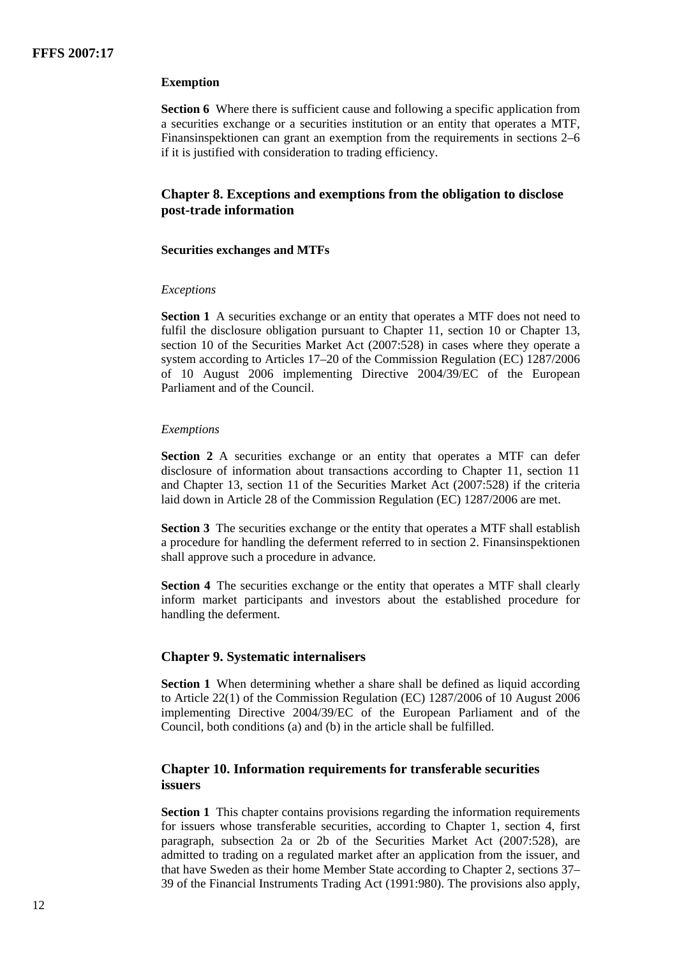#### <span id="page-11-0"></span>**Exemption**

**Section 6** Where there is sufficient cause and following a specific application from a securities exchange or a securities institution or an entity that operates a MTF, Finansinspektionen can grant an exemption from the requirements in sections 2–6 if it is justified with consideration to trading efficiency.

## **Chapter 8. Exceptions and exemptions from the obligation to disclose post-trade information**

#### **Securities exchanges and MTFs**

#### *Exceptions*

**Section 1** A securities exchange or an entity that operates a MTF does not need to fulfil the disclosure obligation pursuant to Chapter 11, section 10 or Chapter 13, section 10 of the Securities Market Act (2007:528) in cases where they operate a system according to Articles 17–20 of the Commission Regulation (EC) 1287/2006 of 10 August 2006 implementing Directive 2004/39/EC of the European Parliament and of the Council.

#### *Exemptions*

**Section 2** A securities exchange or an entity that operates a MTF can defer disclosure of information about transactions according to Chapter 11, section 11 and Chapter 13, section 11 of the Securities Market Act (2007:528) if the criteria laid down in Article 28 of the Commission Regulation (EC) 1287/2006 are met.

**Section 3** The securities exchange or the entity that operates a MTF shall establish a procedure for handling the deferment referred to in section 2. Finansinspektionen shall approve such a procedure in advance.

**Section 4** The securities exchange or the entity that operates a MTF shall clearly inform market participants and investors about the established procedure for handling the deferment.

## **Chapter 9. Systematic internalisers**

**Section 1** When determining whether a share shall be defined as liquid according to Article 22(1) of the Commission Regulation (EC) 1287/2006 of 10 August 2006 implementing Directive 2004/39/EC of the European Parliament and of the Council, both conditions (a) and (b) in the article shall be fulfilled.

## **Chapter 10. Information requirements for transferable securities issuers**

**Section 1** This chapter contains provisions regarding the information requirements for issuers whose transferable securities, according to Chapter 1, section 4, first paragraph, subsection 2a or 2b of the Securities Market Act (2007:528), are admitted to trading on a regulated market after an application from the issuer, and that have Sweden as their home Member State according to Chapter 2, sections 37– 39 of the Financial Instruments Trading Act (1991:980). The provisions also apply,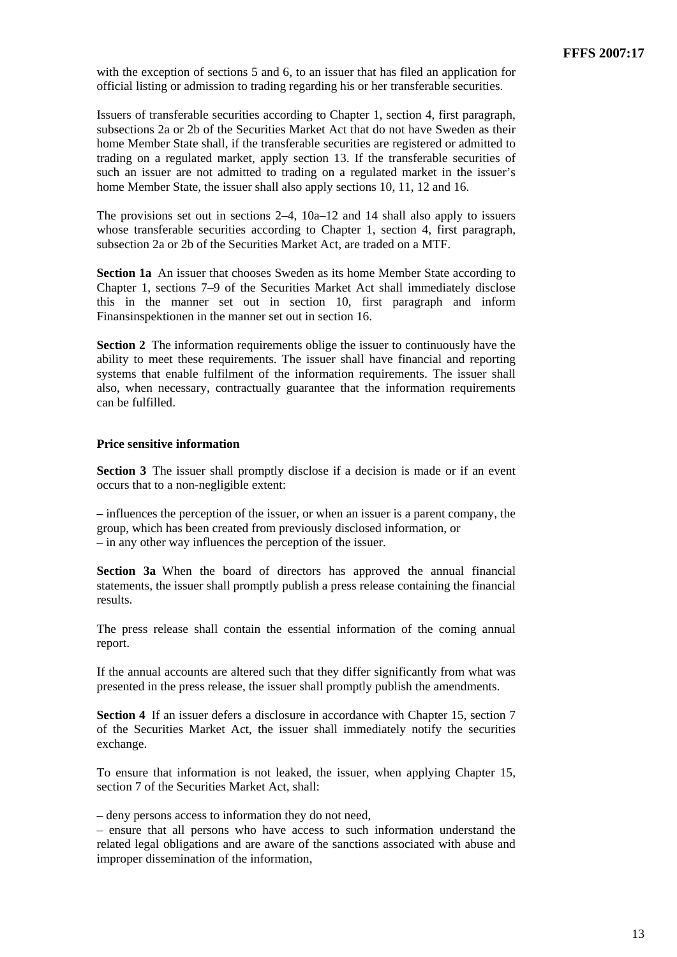<span id="page-12-0"></span>with the exception of sections 5 and 6, to an issuer that has filed an application for official listing or admission to trading regarding his or her transferable securities.

Issuers of transferable securities according to Chapter 1, section 4, first paragraph, subsections 2a or 2b of the Securities Market Act that do not have Sweden as their home Member State shall, if the transferable securities are registered or admitted to trading on a regulated market, apply section 13. If the transferable securities of such an issuer are not admitted to trading on a regulated market in the issuer's home Member State, the issuer shall also apply sections 10, 11, 12 and 16.

The provisions set out in sections 2–4, 10a–12 and 14 shall also apply to issuers whose transferable securities according to Chapter 1, section 4, first paragraph, subsection 2a or 2b of the Securities Market Act, are traded on a MTF.

**Section 1a** An issuer that chooses Sweden as its home Member State according to Chapter 1, sections 7–9 of the Securities Market Act shall immediately disclose this in the manner set out in section 10, first paragraph and inform Finansinspektionen in the manner set out in section 16.

**Section 2** The information requirements oblige the issuer to continuously have the ability to meet these requirements. The issuer shall have financial and reporting systems that enable fulfilment of the information requirements. The issuer shall also, when necessary, contractually guarantee that the information requirements can be fulfilled.

#### **Price sensitive information**

**Section 3** The issuer shall promptly disclose if a decision is made or if an event occurs that to a non-negligible extent:

– influences the perception of the issuer, or when an issuer is a parent company, the group, which has been created from previously disclosed information, or – in any other way influences the perception of the issuer.

**Section 3a** When the board of directors has approved the annual financial statements, the issuer shall promptly publish a press release containing the financial results.

The press release shall contain the essential information of the coming annual report.

If the annual accounts are altered such that they differ significantly from what was presented in the press release, the issuer shall promptly publish the amendments.

**Section 4** If an issuer defers a disclosure in accordance with Chapter 15, section 7 of the Securities Market Act, the issuer shall immediately notify the securities exchange.

To ensure that information is not leaked, the issuer, when applying Chapter 15, section 7 of the Securities Market Act, shall:

– deny persons access to information they do not need,

– ensure that all persons who have access to such information understand the related legal obligations and are aware of the sanctions associated with abuse and improper dissemination of the information,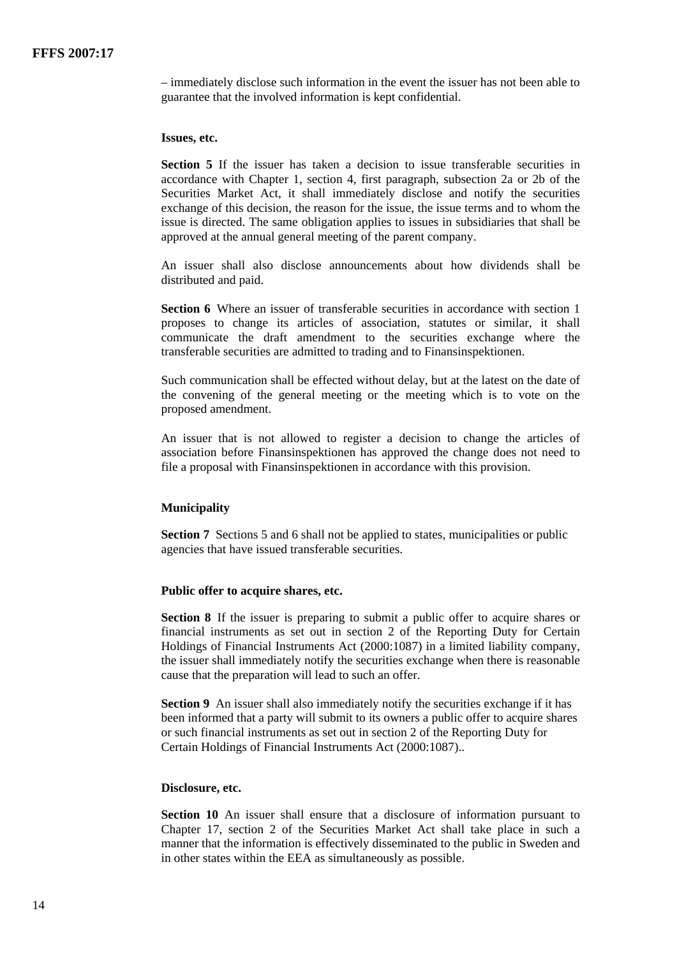<span id="page-13-0"></span>– immediately disclose such information in the event the issuer has not been able to guarantee that the involved information is kept confidential.

#### **Issues, etc.**

**Section 5** If the issuer has taken a decision to issue transferable securities in accordance with Chapter 1, section 4, first paragraph, subsection 2a or 2b of the Securities Market Act, it shall immediately disclose and notify the securities exchange of this decision, the reason for the issue, the issue terms and to whom the issue is directed. The same obligation applies to issues in subsidiaries that shall be approved at the annual general meeting of the parent company.

An issuer shall also disclose announcements about how dividends shall be distributed and paid.

**Section 6** Where an issuer of transferable securities in accordance with section 1 proposes to change its articles of association, statutes or similar, it shall communicate the draft amendment to the securities exchange where the transferable securities are admitted to trading and to Finansinspektionen.

Such communication shall be effected without delay, but at the latest on the date of the convening of the general meeting or the meeting which is to vote on the proposed amendment.

An issuer that is not allowed to register a decision to change the articles of association before Finansinspektionen has approved the change does not need to file a proposal with Finansinspektionen in accordance with this provision.

#### **Municipality**

**Section 7** Sections 5 and 6 shall not be applied to states, municipalities or public agencies that have issued transferable securities.

#### **Public offer to acquire shares, etc.**

**Section 8** If the issuer is preparing to submit a public offer to acquire shares or financial instruments as set out in section 2 of the Reporting Duty for Certain Holdings of Financial Instruments Act (2000:1087) in a limited liability company, the issuer shall immediately notify the securities exchange when there is reasonable cause that the preparation will lead to such an offer.

**Section 9** An issuer shall also immediately notify the securities exchange if it has been informed that a party will submit to its owners a public offer to acquire shares or such financial instruments as set out in section 2 of the Reporting Duty for Certain Holdings of Financial Instruments Act (2000:1087)..

#### **Disclosure, etc.**

**Section 10** An issuer shall ensure that a disclosure of information pursuant to Chapter 17, section 2 of the Securities Market Act shall take place in such a manner that the information is effectively disseminated to the public in Sweden and in other states within the EEA as simultaneously as possible.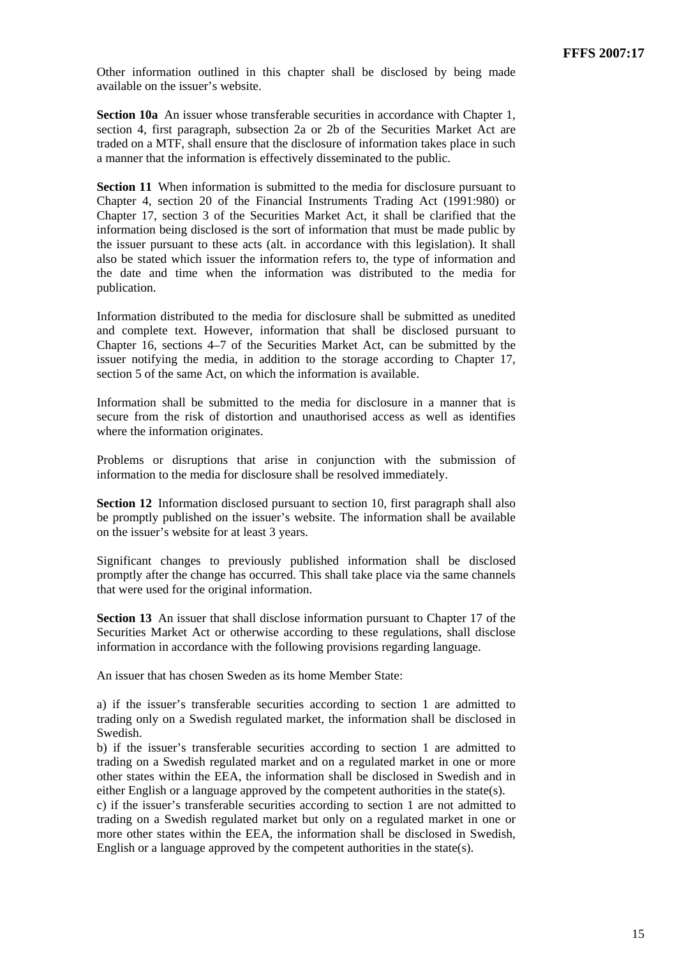Other information outlined in this chapter shall be disclosed by being made available on the issuer's website.

**Section 10a** An issuer whose transferable securities in accordance with Chapter 1, section 4, first paragraph, subsection 2a or 2b of the Securities Market Act are traded on a MTF, shall ensure that the disclosure of information takes place in such a manner that the information is effectively disseminated to the public.

**Section 11** When information is submitted to the media for disclosure pursuant to Chapter 4, section 20 of the Financial Instruments Trading Act (1991:980) or Chapter 17, section 3 of the Securities Market Act, it shall be clarified that the information being disclosed is the sort of information that must be made public by the issuer pursuant to these acts (alt. in accordance with this legislation). It shall also be stated which issuer the information refers to, the type of information and the date and time when the information was distributed to the media for publication.

Information distributed to the media for disclosure shall be submitted as unedited and complete text. However, information that shall be disclosed pursuant to Chapter 16, sections 4–7 of the Securities Market Act, can be submitted by the issuer notifying the media, in addition to the storage according to Chapter 17, section 5 of the same Act, on which the information is available.

Information shall be submitted to the media for disclosure in a manner that is secure from the risk of distortion and unauthorised access as well as identifies where the information originates.

Problems or disruptions that arise in conjunction with the submission of information to the media for disclosure shall be resolved immediately.

**Section 12** Information disclosed pursuant to section 10, first paragraph shall also be promptly published on the issuer's website. The information shall be available on the issuer's website for at least 3 years.

Significant changes to previously published information shall be disclosed promptly after the change has occurred. This shall take place via the same channels that were used for the original information.

**Section 13** An issuer that shall disclose information pursuant to Chapter 17 of the Securities Market Act or otherwise according to these regulations, shall disclose information in accordance with the following provisions regarding language.

An issuer that has chosen Sweden as its home Member State:

a) if the issuer's transferable securities according to section 1 are admitted to trading only on a Swedish regulated market, the information shall be disclosed in Swedish.

b) if the issuer's transferable securities according to section 1 are admitted to trading on a Swedish regulated market and on a regulated market in one or more other states within the EEA, the information shall be disclosed in Swedish and in either English or a language approved by the competent authorities in the state(s).

c) if the issuer's transferable securities according to section 1 are not admitted to trading on a Swedish regulated market but only on a regulated market in one or more other states within the EEA, the information shall be disclosed in Swedish, English or a language approved by the competent authorities in the state(s).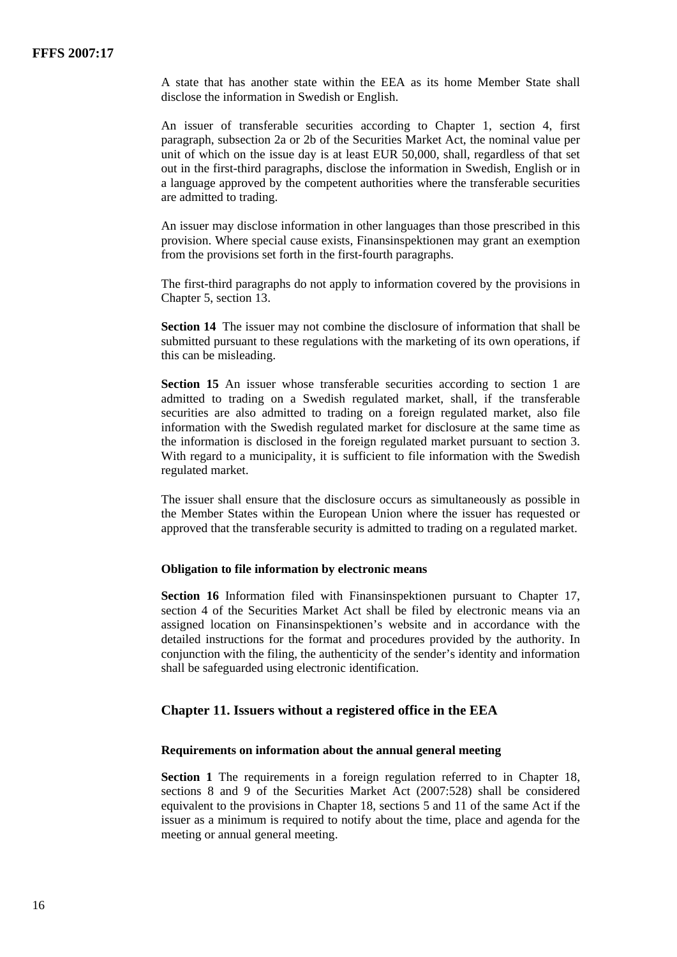<span id="page-15-0"></span>A state that has another state within the EEA as its home Member State shall disclose the information in Swedish or English.

An issuer of transferable securities according to Chapter 1, section 4, first paragraph, subsection 2a or 2b of the Securities Market Act, the nominal value per unit of which on the issue day is at least EUR 50,000, shall, regardless of that set out in the first-third paragraphs, disclose the information in Swedish, English or in a language approved by the competent authorities where the transferable securities are admitted to trading.

An issuer may disclose information in other languages than those prescribed in this provision. Where special cause exists, Finansinspektionen may grant an exemption from the provisions set forth in the first-fourth paragraphs.

The first-third paragraphs do not apply to information covered by the provisions in Chapter 5, section 13.

**Section 14** The issuer may not combine the disclosure of information that shall be submitted pursuant to these regulations with the marketing of its own operations, if this can be misleading.

**Section 15** An issuer whose transferable securities according to section 1 are admitted to trading on a Swedish regulated market, shall, if the transferable securities are also admitted to trading on a foreign regulated market, also file information with the Swedish regulated market for disclosure at the same time as the information is disclosed in the foreign regulated market pursuant to section 3. With regard to a municipality, it is sufficient to file information with the Swedish regulated market.

The issuer shall ensure that the disclosure occurs as simultaneously as possible in the Member States within the European Union where the issuer has requested or approved that the transferable security is admitted to trading on a regulated market.

#### **Obligation to file information by electronic means**

**Section 16** Information filed with Finansinspektionen pursuant to Chapter 17, section 4 of the Securities Market Act shall be filed by electronic means via an assigned location on Finansinspektionen's website and in accordance with the detailed instructions for the format and procedures provided by the authority. In conjunction with the filing, the authenticity of the sender's identity and information shall be safeguarded using electronic identification.

#### **Chapter 11. Issuers without a registered office in the EEA**

#### **Requirements on information about the annual general meeting**

**Section 1** The requirements in a foreign regulation referred to in Chapter 18, sections 8 and 9 of the Securities Market Act (2007:528) shall be considered equivalent to the provisions in Chapter 18, sections 5 and 11 of the same Act if the issuer as a minimum is required to notify about the time, place and agenda for the meeting or annual general meeting.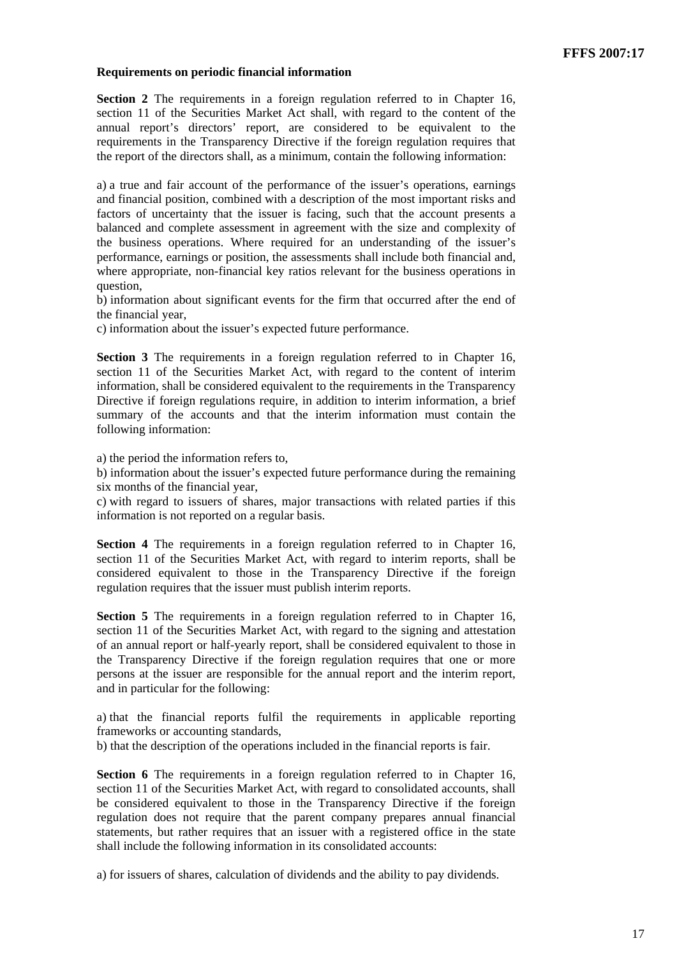## <span id="page-16-0"></span>**Requirements on periodic financial information**

**Section 2** The requirements in a foreign regulation referred to in Chapter 16, section 11 of the Securities Market Act shall, with regard to the content of the annual report's directors' report, are considered to be equivalent to the requirements in the Transparency Directive if the foreign regulation requires that the report of the directors shall, as a minimum, contain the following information:

a) a true and fair account of the performance of the issuer's operations, earnings and financial position, combined with a description of the most important risks and factors of uncertainty that the issuer is facing, such that the account presents a balanced and complete assessment in agreement with the size and complexity of the business operations. Where required for an understanding of the issuer's performance, earnings or position, the assessments shall include both financial and, where appropriate, non-financial key ratios relevant for the business operations in question,

b) information about significant events for the firm that occurred after the end of the financial year,

c) information about the issuer's expected future performance.

**Section 3** The requirements in a foreign regulation referred to in Chapter 16, section 11 of the Securities Market Act, with regard to the content of interim information, shall be considered equivalent to the requirements in the Transparency Directive if foreign regulations require, in addition to interim information, a brief summary of the accounts and that the interim information must contain the following information:

a) the period the information refers to,

b) information about the issuer's expected future performance during the remaining six months of the financial year,

c) with regard to issuers of shares, major transactions with related parties if this information is not reported on a regular basis.

**Section 4** The requirements in a foreign regulation referred to in Chapter 16, section 11 of the Securities Market Act, with regard to interim reports, shall be considered equivalent to those in the Transparency Directive if the foreign regulation requires that the issuer must publish interim reports.

**Section 5** The requirements in a foreign regulation referred to in Chapter 16, section 11 of the Securities Market Act, with regard to the signing and attestation of an annual report or half-yearly report, shall be considered equivalent to those in the Transparency Directive if the foreign regulation requires that one or more persons at the issuer are responsible for the annual report and the interim report, and in particular for the following:

a) that the financial reports fulfil the requirements in applicable reporting frameworks or accounting standards,

b) that the description of the operations included in the financial reports is fair.

**Section 6** The requirements in a foreign regulation referred to in Chapter 16, section 11 of the Securities Market Act, with regard to consolidated accounts, shall be considered equivalent to those in the Transparency Directive if the foreign regulation does not require that the parent company prepares annual financial statements, but rather requires that an issuer with a registered office in the state shall include the following information in its consolidated accounts:

a) for issuers of shares, calculation of dividends and the ability to pay dividends.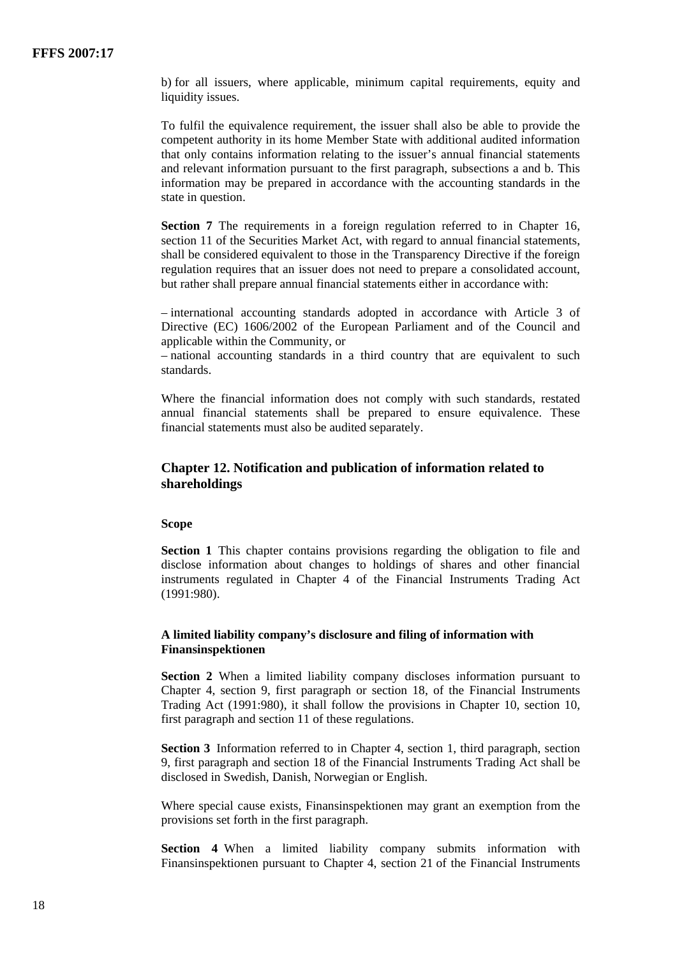<span id="page-17-0"></span>b) for all issuers, where applicable, minimum capital requirements, equity and liquidity issues.

To fulfil the equivalence requirement, the issuer shall also be able to provide the competent authority in its home Member State with additional audited information that only contains information relating to the issuer's annual financial statements and relevant information pursuant to the first paragraph, subsections a and b. This information may be prepared in accordance with the accounting standards in the state in question.

**Section 7** The requirements in a foreign regulation referred to in Chapter 16, section 11 of the Securities Market Act, with regard to annual financial statements, shall be considered equivalent to those in the Transparency Directive if the foreign regulation requires that an issuer does not need to prepare a consolidated account, but rather shall prepare annual financial statements either in accordance with:

– international accounting standards adopted in accordance with Article 3 of Directive (EC) 1606/2002 of the European Parliament and of the Council and applicable within the Community, or

– national accounting standards in a third country that are equivalent to such standards.

Where the financial information does not comply with such standards, restated annual financial statements shall be prepared to ensure equivalence. These financial statements must also be audited separately.

## **Chapter 12. Notification and publication of information related to shareholdings**

#### **Scope**

**Section 1** This chapter contains provisions regarding the obligation to file and disclose information about changes to holdings of shares and other financial instruments regulated in Chapter 4 of the Financial Instruments Trading Act (1991:980).

## **A limited liability company's disclosure and filing of information with Finansinspektionen**

**Section 2** When a limited liability company discloses information pursuant to Chapter 4, section 9, first paragraph or section 18, of the Financial Instruments Trading Act (1991:980), it shall follow the provisions in Chapter 10, section 10, first paragraph and section 11 of these regulations.

**Section 3** Information referred to in Chapter 4, section 1, third paragraph, section 9, first paragraph and section 18 of the Financial Instruments Trading Act shall be disclosed in Swedish, Danish, Norwegian or English.

Where special cause exists, Finansinspektionen may grant an exemption from the provisions set forth in the first paragraph.

**Section 4** When a limited liability company submits information with Finansinspektionen pursuant to Chapter 4, section 21 of the Financial Instruments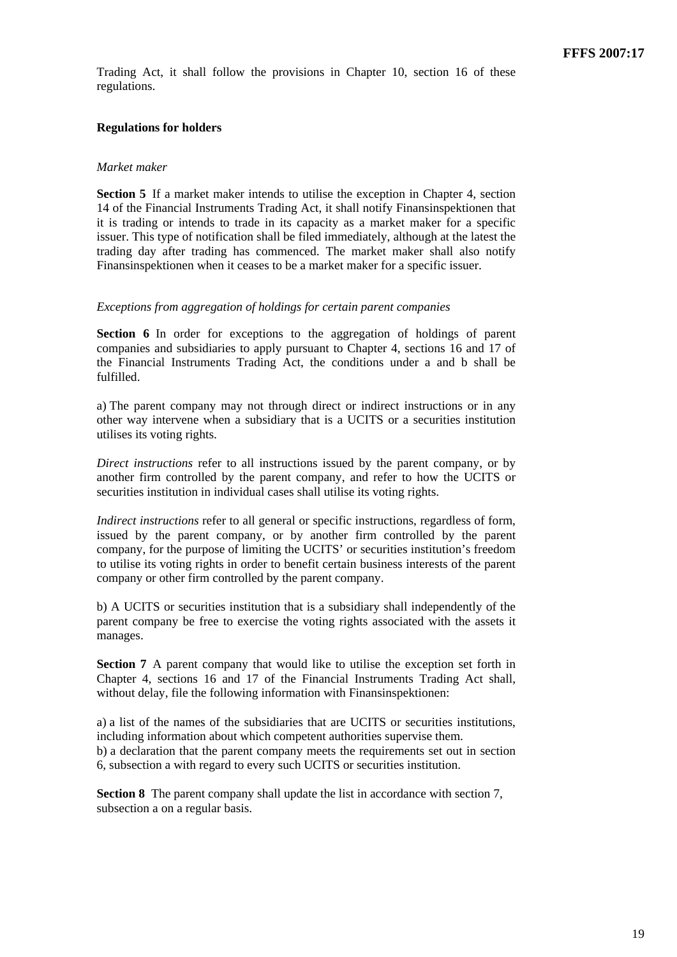<span id="page-18-0"></span>Trading Act, it shall follow the provisions in Chapter 10, section 16 of these regulations.

## **Regulations for holders**

#### *Market maker*

**Section 5** If a market maker intends to utilise the exception in Chapter 4, section 14 of the Financial Instruments Trading Act, it shall notify Finansinspektionen that it is trading or intends to trade in its capacity as a market maker for a specific issuer. This type of notification shall be filed immediately, although at the latest the trading day after trading has commenced. The market maker shall also notify Finansinspektionen when it ceases to be a market maker for a specific issuer.

#### *Exceptions from aggregation of holdings for certain parent companies*

**Section 6** In order for exceptions to the aggregation of holdings of parent companies and subsidiaries to apply pursuant to Chapter 4, sections 16 and 17 of the Financial Instruments Trading Act, the conditions under a and b shall be fulfilled.

a) The parent company may not through direct or indirect instructions or in any other way intervene when a subsidiary that is a UCITS or a securities institution utilises its voting rights.

*Direct instructions* refer to all instructions issued by the parent company, or by another firm controlled by the parent company, and refer to how the UCITS or securities institution in individual cases shall utilise its voting rights.

*Indirect instructions* refer to all general or specific instructions, regardless of form, issued by the parent company, or by another firm controlled by the parent company, for the purpose of limiting the UCITS' or securities institution's freedom to utilise its voting rights in order to benefit certain business interests of the parent company or other firm controlled by the parent company.

b) A UCITS or securities institution that is a subsidiary shall independently of the parent company be free to exercise the voting rights associated with the assets it manages.

**Section 7** A parent company that would like to utilise the exception set forth in Chapter 4, sections 16 and 17 of the Financial Instruments Trading Act shall, without delay, file the following information with Finansinspektionen:

a) a list of the names of the subsidiaries that are UCITS or securities institutions, including information about which competent authorities supervise them. b) a declaration that the parent company meets the requirements set out in section 6, subsection a with regard to every such UCITS or securities institution.

**Section 8** The parent company shall update the list in accordance with section 7, subsection a on a regular basis.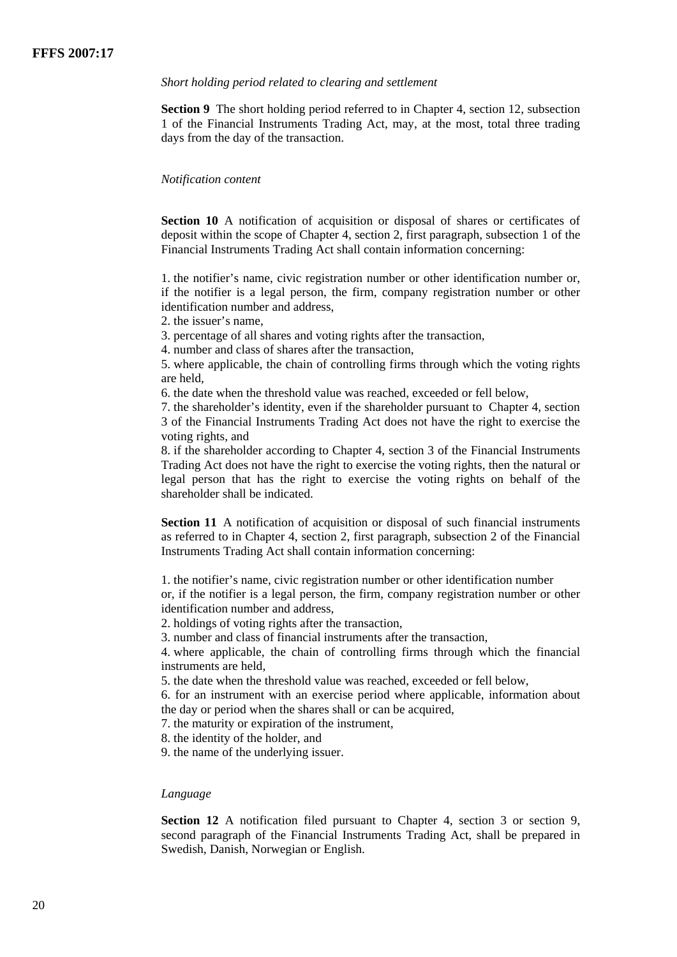#### *Short holding period related to clearing and settlement*

**Section 9** The short holding period referred to in Chapter 4, section 12, subsection 1 of the Financial Instruments Trading Act, may, at the most, total three trading days from the day of the transaction.

#### *Notification content*

**Section 10** A notification of acquisition or disposal of shares or certificates of deposit within the scope of Chapter 4, section 2, first paragraph, subsection 1 of the Financial Instruments Trading Act shall contain information concerning:

1. the notifier's name, civic registration number or other identification number or, if the notifier is a legal person, the firm, company registration number or other identification number and address,

2. the issuer's name,

3. percentage of all shares and voting rights after the transaction,

4. number and class of shares after the transaction,

5. where applicable, the chain of controlling firms through which the voting rights are held,

6. the date when the threshold value was reached, exceeded or fell below,

7. the shareholder's identity, even if the shareholder pursuant to Chapter 4, section 3 of the Financial Instruments Trading Act does not have the right to exercise the voting rights, and

8. if the shareholder according to Chapter 4, section 3 of the Financial Instruments Trading Act does not have the right to exercise the voting rights, then the natural or legal person that has the right to exercise the voting rights on behalf of the shareholder shall be indicated.

**Section 11** A notification of acquisition or disposal of such financial instruments as referred to in Chapter 4, section 2, first paragraph, subsection 2 of the Financial Instruments Trading Act shall contain information concerning:

1. the notifier's name, civic registration number or other identification number or, if the notifier is a legal person, the firm, company registration number or other identification number and address,

2. holdings of voting rights after the transaction,

3. number and class of financial instruments after the transaction,

4. where applicable, the chain of controlling firms through which the financial instruments are held,

5. the date when the threshold value was reached, exceeded or fell below,

6. for an instrument with an exercise period where applicable, information about the day or period when the shares shall or can be acquired,

7. the maturity or expiration of the instrument,

8. the identity of the holder, and

9. the name of the underlying issuer.

#### *Language*

**Section 12** A notification filed pursuant to Chapter 4, section 3 or section 9, second paragraph of the Financial Instruments Trading Act, shall be prepared in Swedish, Danish, Norwegian or English.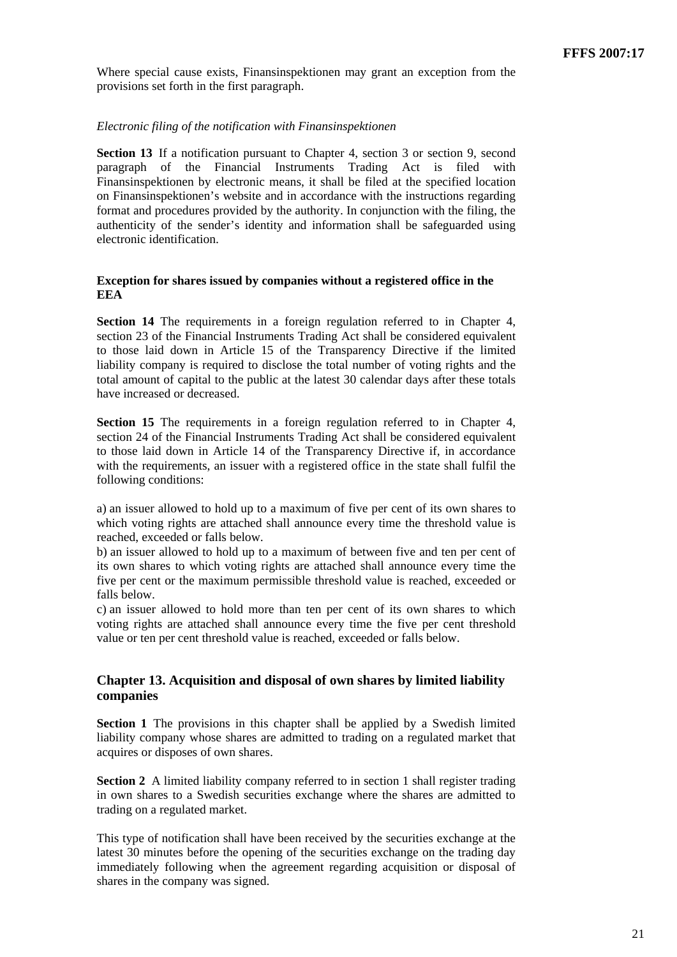<span id="page-20-0"></span>Where special cause exists, Finansinspektionen may grant an exception from the provisions set forth in the first paragraph.

## *Electronic filing of the notification with Finansinspektionen*

**Section 13** If a notification pursuant to Chapter 4, section 3 or section 9, second paragraph of the Financial Instruments Trading Act is filed with Finansinspektionen by electronic means, it shall be filed at the specified location on Finansinspektionen's website and in accordance with the instructions regarding format and procedures provided by the authority. In conjunction with the filing, the authenticity of the sender's identity and information shall be safeguarded using electronic identification.

## **Exception for shares issued by companies without a registered office in the EEA**

**Section 14** The requirements in a foreign regulation referred to in Chapter 4, section 23 of the Financial Instruments Trading Act shall be considered equivalent to those laid down in Article 15 of the Transparency Directive if the limited liability company is required to disclose the total number of voting rights and the total amount of capital to the public at the latest 30 calendar days after these totals have increased or decreased.

**Section 15** The requirements in a foreign regulation referred to in Chapter 4, section 24 of the Financial Instruments Trading Act shall be considered equivalent to those laid down in Article 14 of the Transparency Directive if, in accordance with the requirements, an issuer with a registered office in the state shall fulfil the following conditions:

a) an issuer allowed to hold up to a maximum of five per cent of its own shares to which voting rights are attached shall announce every time the threshold value is reached, exceeded or falls below.

b) an issuer allowed to hold up to a maximum of between five and ten per cent of its own shares to which voting rights are attached shall announce every time the five per cent or the maximum permissible threshold value is reached, exceeded or falls below.

c) an issuer allowed to hold more than ten per cent of its own shares to which voting rights are attached shall announce every time the five per cent threshold value or ten per cent threshold value is reached, exceeded or falls below.

## **Chapter 13. Acquisition and disposal of own shares by limited liability companies**

**Section 1** The provisions in this chapter shall be applied by a Swedish limited liability company whose shares are admitted to trading on a regulated market that acquires or disposes of own shares.

**Section 2** A limited liability company referred to in section 1 shall register trading in own shares to a Swedish securities exchange where the shares are admitted to trading on a regulated market.

This type of notification shall have been received by the securities exchange at the latest 30 minutes before the opening of the securities exchange on the trading day immediately following when the agreement regarding acquisition or disposal of shares in the company was signed.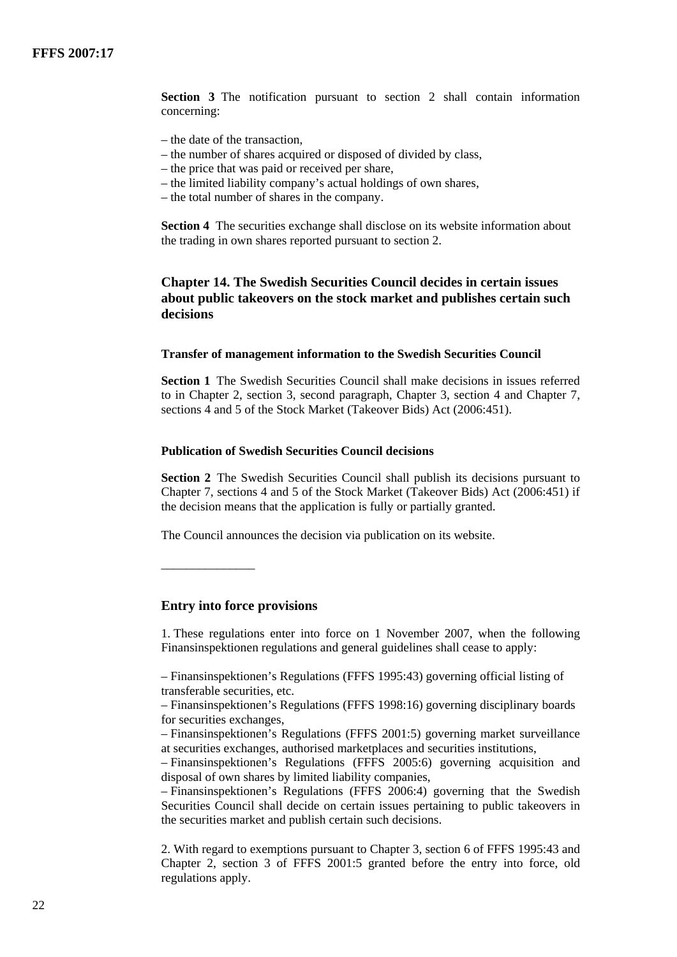<span id="page-21-0"></span>**Section 3** The notification pursuant to section 2 shall contain information concerning:

- the date of the transaction,
- the number of shares acquired or disposed of divided by class,
- the price that was paid or received per share,
- the limited liability company's actual holdings of own shares,
- the total number of shares in the company.

**Section 4** The securities exchange shall disclose on its website information about the trading in own shares reported pursuant to section 2.

## **Chapter 14. The Swedish Securities Council decides in certain issues about public takeovers on the stock market and publishes certain such decisions**

#### **Transfer of management information to the Swedish Securities Council**

**Section 1** The Swedish Securities Council shall make decisions in issues referred to in Chapter 2, section 3, second paragraph, Chapter 3, section 4 and Chapter 7, sections 4 and 5 of the Stock Market (Takeover Bids) Act (2006:451).

#### **Publication of Swedish Securities Council decisions**

**Section 2** The Swedish Securities Council shall publish its decisions pursuant to Chapter 7, sections 4 and 5 of the Stock Market (Takeover Bids) Act (2006:451) if the decision means that the application is fully or partially granted.

The Council announces the decision via publication on its website.

## **Entry into force provisions**

\_\_\_\_\_\_\_\_\_\_\_\_\_\_\_

1. These regulations enter into force on 1 November 2007, when the following Finansinspektionen regulations and general guidelines shall cease to apply:

2. With regard to exemptions pursuant to Chapter 3, section 6 of FFFS 1995:43 and Chapter 2, section 3 of FFFS 2001:5 granted before the entry into force, old regulations apply.

<sup>–</sup> Finansinspektionen's Regulations (FFFS 1995:43) governing official listing of transferable securities, etc.

<sup>–</sup> Finansinspektionen's Regulations (FFFS 1998:16) governing disciplinary boards for securities exchanges,

<sup>–</sup> Finansinspektionen's Regulations (FFFS 2001:5) governing market surveillance at securities exchanges, authorised marketplaces and securities institutions,

<sup>–</sup> Finansinspektionen's Regulations (FFFS 2005:6) governing acquisition and disposal of own shares by limited liability companies,

<sup>–</sup> Finansinspektionen's Regulations (FFFS 2006:4) governing that the Swedish Securities Council shall decide on certain issues pertaining to public takeovers in the securities market and publish certain such decisions.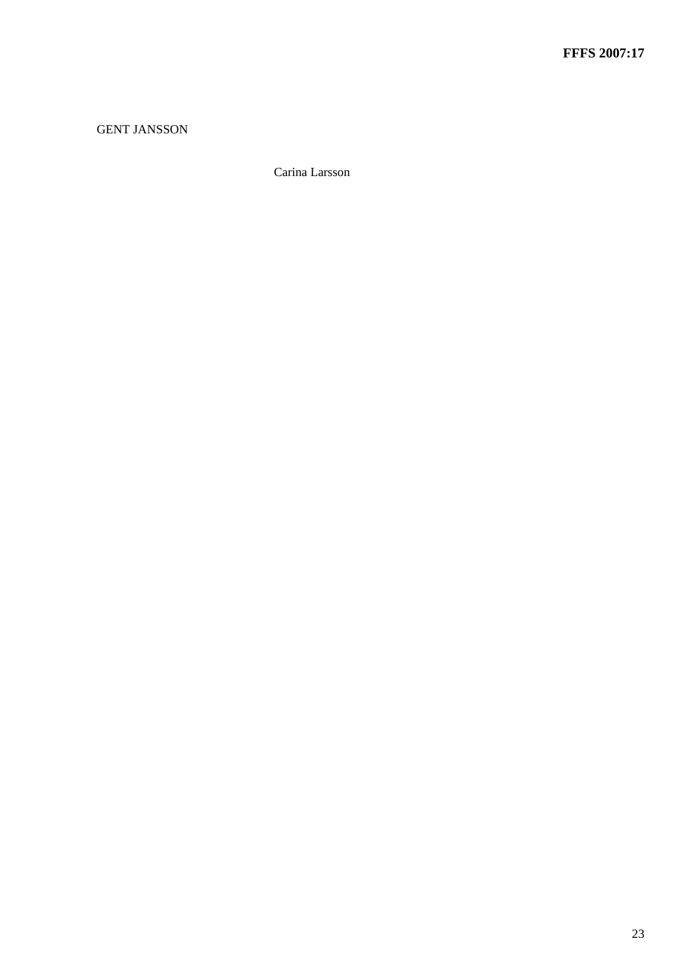GENT JANSSON

Carina Larsson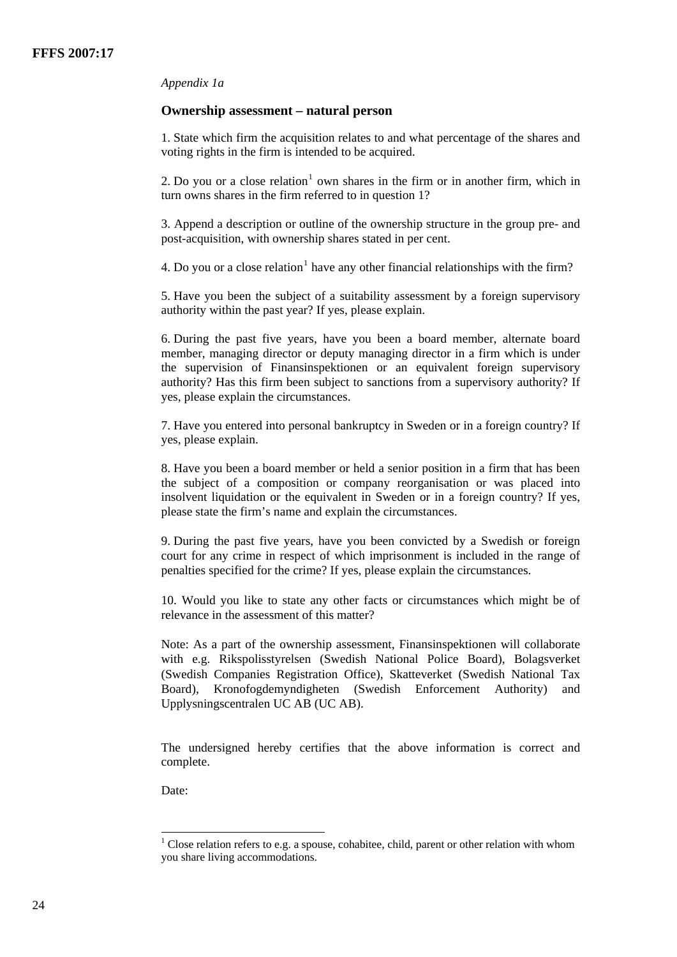#### <span id="page-23-2"></span>*Appendix 1a*

#### **Ownership assessment – natural person**

1. State which firm the acquisition relates to and what percentage of the shares and voting rights in the firm is intended to be acquired.

2. Do you or a close relation<sup>[1](#page-23-0)</sup> own shares in the firm or in another firm, which in turn owns shares in the firm referred to in question 1?

3. Append a description or outline of the ownership structure in the group pre- and post-acquisition, with ownership shares stated in per cent.

4. Do you or a close relation<sup>[1](#page-23-1)</sup> have any other financial relationships with the firm?

5. Have you been the subject of a suitability assessment by a foreign supervisory authority within the past year? If yes, please explain.

6. During the past five years, have you been a board member, alternate board member, managing director or deputy managing director in a firm which is under the supervision of Finansinspektionen or an equivalent foreign supervisory authority? Has this firm been subject to sanctions from a supervisory authority? If yes, please explain the circumstances.

7. Have you entered into personal bankruptcy in Sweden or in a foreign country? If yes, please explain.

8. Have you been a board member or held a senior position in a firm that has been the subject of a composition or company reorganisation or was placed into insolvent liquidation or the equivalent in Sweden or in a foreign country? If yes, please state the firm's name and explain the circumstances.

9. During the past five years, have you been convicted by a Swedish or foreign court for any crime in respect of which imprisonment is included in the range of penalties specified for the crime? If yes, please explain the circumstances.

10. Would you like to state any other facts or circumstances which might be of relevance in the assessment of this matter?

Note: As a part of the ownership assessment, Finansinspektionen will collaborate with e.g. Rikspolisstyrelsen (Swedish National Police Board), Bolagsverket (Swedish Companies Registration Office), Skatteverket (Swedish National Tax Board), Kronofogdemyndigheten (Swedish Enforcement Authority) and Upplysningscentralen UC AB (UC AB).

The undersigned hereby certifies that the above information is correct and complete.

Date:

-

<span id="page-23-1"></span><span id="page-23-0"></span><sup>&</sup>lt;sup>1</sup> Close relation refers to e.g. a spouse, cohabitee, child, parent or other relation with whom you share living accommodations.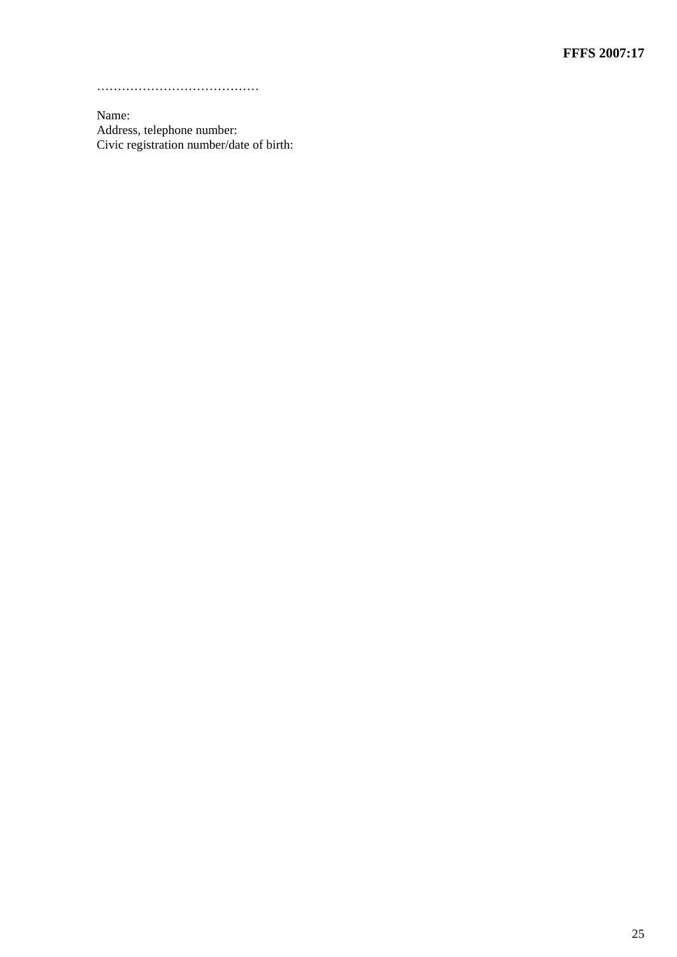…………………………………

Name: Address, telephone number: Civic registration number/date of birth: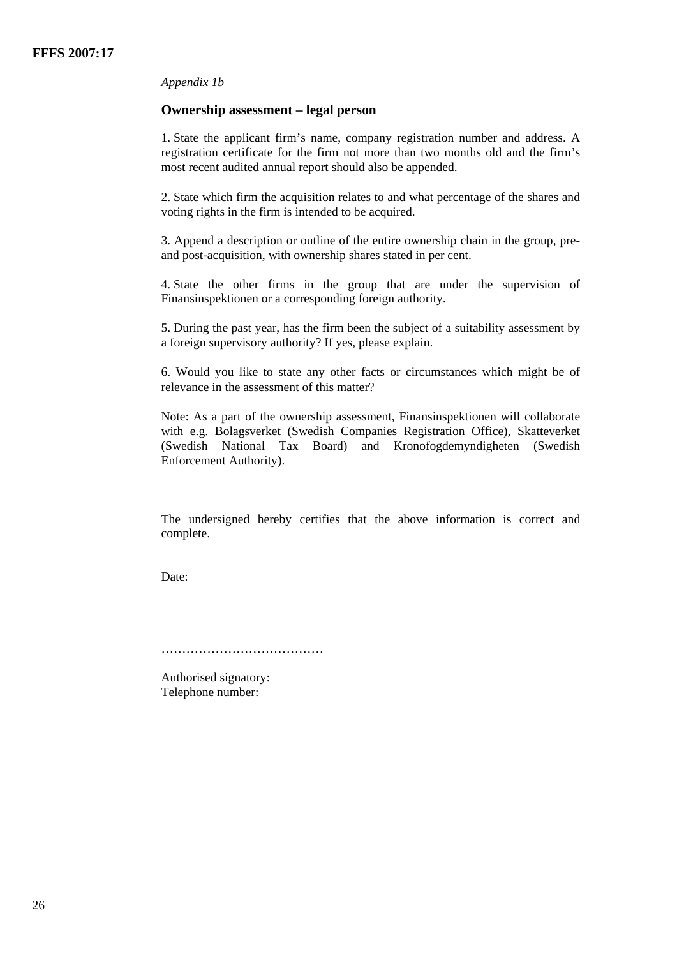<span id="page-25-0"></span>*Appendix 1b*

## **Ownership assessment – legal person**

1. State the applicant firm's name, company registration number and address. A registration certificate for the firm not more than two months old and the firm's most recent audited annual report should also be appended.

2. State which firm the acquisition relates to and what percentage of the shares and voting rights in the firm is intended to be acquired.

3. Append a description or outline of the entire ownership chain in the group, preand post-acquisition, with ownership shares stated in per cent.

4. State the other firms in the group that are under the supervision of Finansinspektionen or a corresponding foreign authority.

5. During the past year, has the firm been the subject of a suitability assessment by a foreign supervisory authority? If yes, please explain.

6. Would you like to state any other facts or circumstances which might be of relevance in the assessment of this matter?

Note: As a part of the ownership assessment, Finansinspektionen will collaborate with e.g. Bolagsverket (Swedish Companies Registration Office), Skatteverket (Swedish National Tax Board) and Kronofogdemyndigheten (Swedish Enforcement Authority).

The undersigned hereby certifies that the above information is correct and complete.

Date:

…………………………………………

Authorised signatory: Telephone number: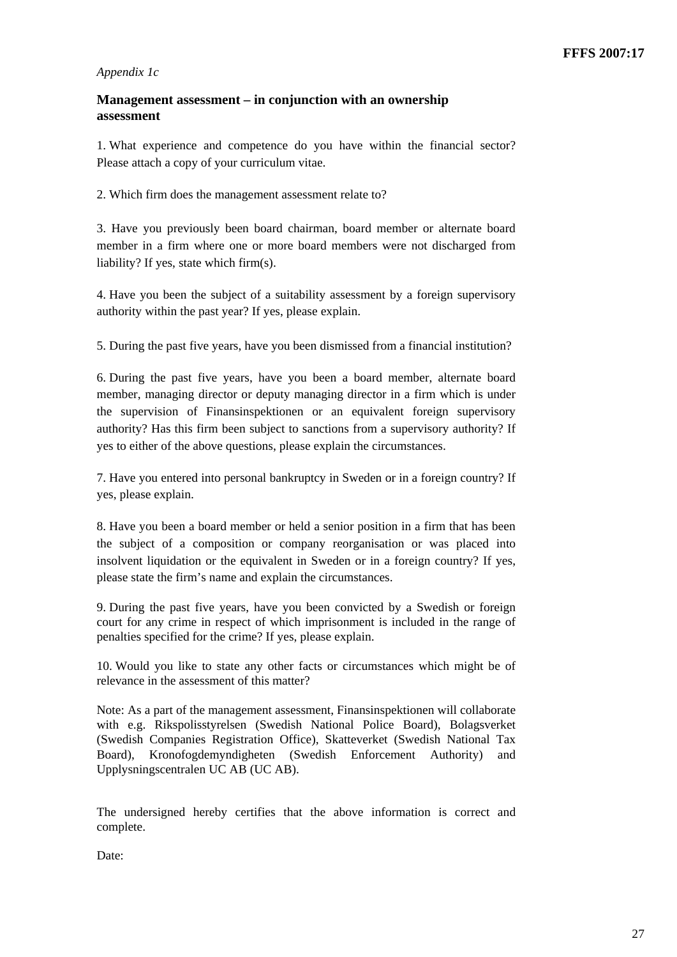## <span id="page-26-0"></span>*Appendix 1c*

## **Management assessment – in conjunction with an ownership assessment**

1. What experience and competence do you have within the financial sector? Please attach a copy of your curriculum vitae.

2. Which firm does the management assessment relate to?

3. Have you previously been board chairman, board member or alternate board member in a firm where one or more board members were not discharged from liability? If yes, state which firm(s).

4. Have you been the subject of a suitability assessment by a foreign supervisory authority within the past year? If yes, please explain.

5. During the past five years, have you been dismissed from a financial institution?

6. During the past five years, have you been a board member, alternate board member, managing director or deputy managing director in a firm which is under the supervision of Finansinspektionen or an equivalent foreign supervisory authority? Has this firm been subject to sanctions from a supervisory authority? If yes to either of the above questions, please explain the circumstances.

7. Have you entered into personal bankruptcy in Sweden or in a foreign country? If yes, please explain.

8. Have you been a board member or held a senior position in a firm that has been the subject of a composition or company reorganisation or was placed into insolvent liquidation or the equivalent in Sweden or in a foreign country? If yes, please state the firm's name and explain the circumstances.

9. During the past five years, have you been convicted by a Swedish or foreign court for any crime in respect of which imprisonment is included in the range of penalties specified for the crime? If yes, please explain.

10. Would you like to state any other facts or circumstances which might be of relevance in the assessment of this matter?

Note: As a part of the management assessment, Finansinspektionen will collaborate with e.g. Rikspolisstyrelsen (Swedish National Police Board), Bolagsverket (Swedish Companies Registration Office), Skatteverket (Swedish National Tax Board), Kronofogdemyndigheten (Swedish Enforcement Authority) and Upplysningscentralen UC AB (UC AB).

The undersigned hereby certifies that the above information is correct and complete.

Date: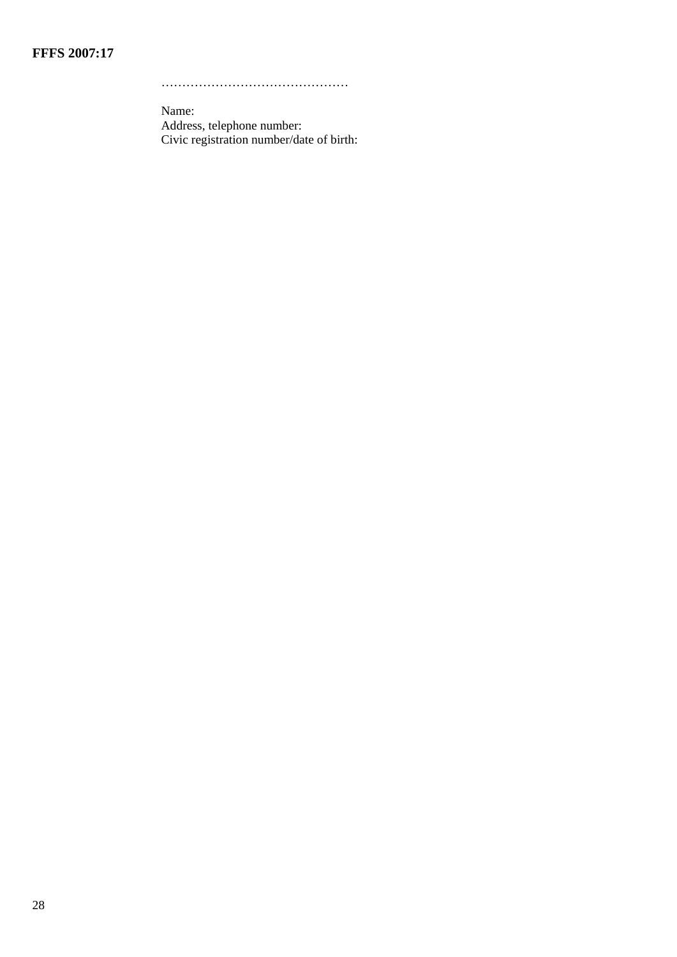## **FFFS 2007:17**

………………………………………

Name: Address, telephone number: Civic registration number/date of birth: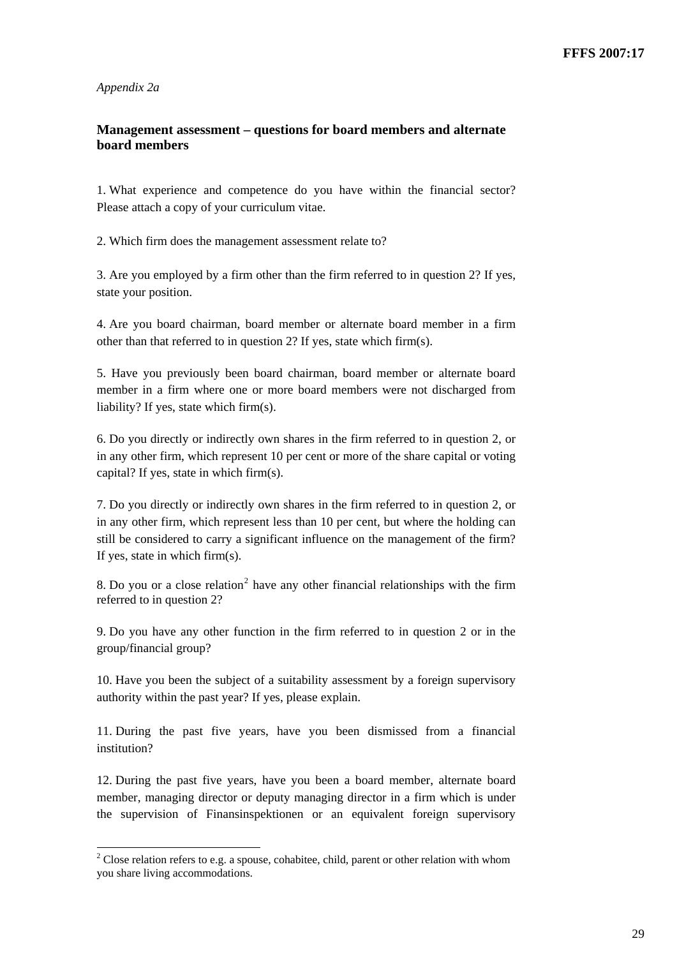<span id="page-28-1"></span>*Appendix 2a* 

1

## **Management assessment – questions for board members and alternate board members**

1. What experience and competence do you have within the financial sector? Please attach a copy of your curriculum vitae.

2. Which firm does the management assessment relate to?

3. Are you employed by a firm other than the firm referred to in question 2? If yes, state your position.

4. Are you board chairman, board member or alternate board member in a firm other than that referred to in question 2? If yes, state which firm(s).

5. Have you previously been board chairman, board member or alternate board member in a firm where one or more board members were not discharged from liability? If yes, state which firm(s).

6. Do you directly or indirectly own shares in the firm referred to in question 2, or in any other firm, which represent 10 per cent or more of the share capital or voting capital? If yes, state in which firm(s).

7. Do you directly or indirectly own shares in the firm referred to in question 2, or in any other firm, which represent less than 10 per cent, but where the holding can still be considered to carry a significant influence on the management of the firm? If yes, state in which firm(s).

8. Do you or a close relation<sup>[2](#page-28-0)</sup> have any other financial relationships with the firm referred to in question 2?

9. Do you have any other function in the firm referred to in question 2 or in the group/financial group?

10. Have you been the subject of a suitability assessment by a foreign supervisory authority within the past year? If yes, please explain.

11. During the past five years, have you been dismissed from a financial institution?

12. During the past five years, have you been a board member, alternate board member, managing director or deputy managing director in a firm which is under the supervision of Finansinspektionen or an equivalent foreign supervisory

<span id="page-28-0"></span><sup>&</sup>lt;sup>2</sup> Close relation refers to e.g. a spouse, cohabitee, child, parent or other relation with whom you share living accommodations.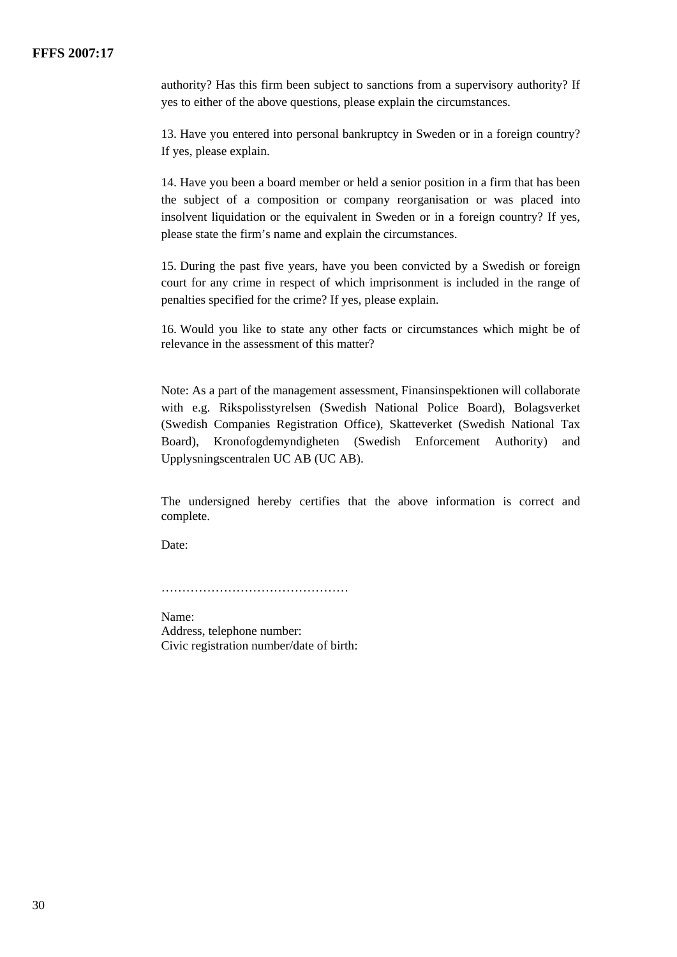## **FFFS 2007:17**

authority? Has this firm been subject to sanctions from a supervisory authority? If yes to either of the above questions, please explain the circumstances.

13. Have you entered into personal bankruptcy in Sweden or in a foreign country? If yes, please explain.

14. Have you been a board member or held a senior position in a firm that has been the subject of a composition or company reorganisation or was placed into insolvent liquidation or the equivalent in Sweden or in a foreign country? If yes, please state the firm's name and explain the circumstances.

15. During the past five years, have you been convicted by a Swedish or foreign court for any crime in respect of which imprisonment is included in the range of penalties specified for the crime? If yes, please explain.

16. Would you like to state any other facts or circumstances which might be of relevance in the assessment of this matter?

Note: As a part of the management assessment, Finansinspektionen will collaborate with e.g. Rikspolisstyrelsen (Swedish National Police Board), Bolagsverket (Swedish Companies Registration Office), Skatteverket (Swedish National Tax Board), Kronofogdemyndigheten (Swedish Enforcement Authority) and Upplysningscentralen UC AB (UC AB).

The undersigned hereby certifies that the above information is correct and complete.

Date:

………………………………………………

Name: Address, telephone number: Civic registration number/date of birth: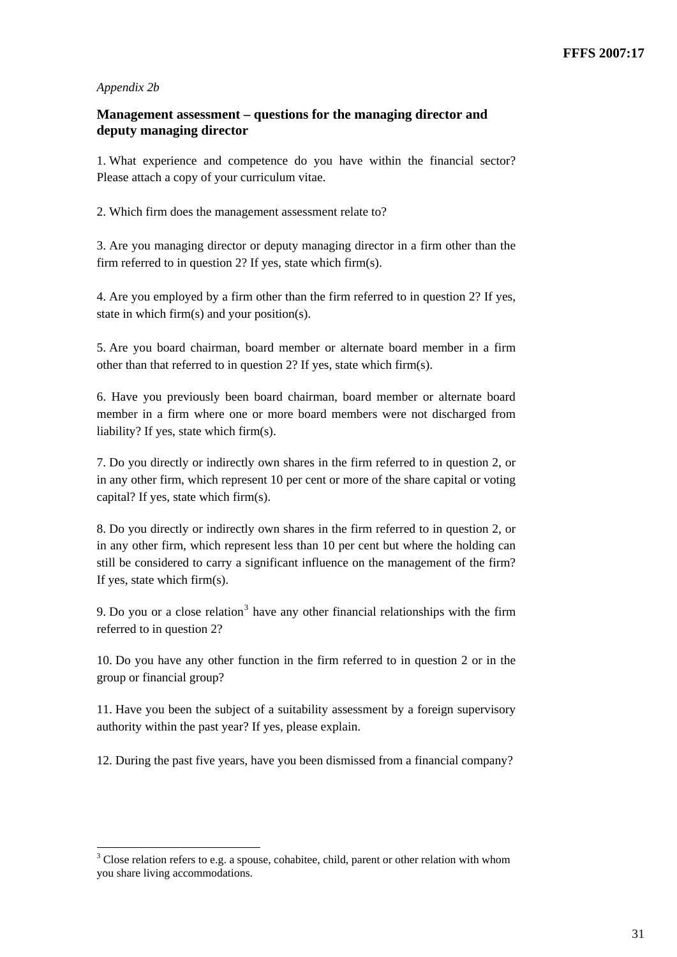## <span id="page-30-1"></span>*Appendix 2b*

1

## **Management assessment – questions for the managing director and deputy managing director**

1. What experience and competence do you have within the financial sector? Please attach a copy of your curriculum vitae.

2. Which firm does the management assessment relate to?

3. Are you managing director or deputy managing director in a firm other than the firm referred to in question 2? If yes, state which firm(s).

4. Are you employed by a firm other than the firm referred to in question 2? If yes, state in which firm(s) and your position(s).

5. Are you board chairman, board member or alternate board member in a firm other than that referred to in question 2? If yes, state which firm(s).

6. Have you previously been board chairman, board member or alternate board member in a firm where one or more board members were not discharged from liability? If yes, state which firm(s).

7. Do you directly or indirectly own shares in the firm referred to in question 2, or in any other firm, which represent 10 per cent or more of the share capital or voting capital? If yes, state which firm(s).

8. Do you directly or indirectly own shares in the firm referred to in question 2, or in any other firm, which represent less than 10 per cent but where the holding can still be considered to carry a significant influence on the management of the firm? If yes, state which firm(s).

9. Do you or a close relation<sup>[3](#page-30-0)</sup> have any other financial relationships with the firm referred to in question 2?

10. Do you have any other function in the firm referred to in question 2 or in the group or financial group?

11. Have you been the subject of a suitability assessment by a foreign supervisory authority within the past year? If yes, please explain.

12. During the past five years, have you been dismissed from a financial company?

<span id="page-30-0"></span> $3$  Close relation refers to e.g. a spouse, cohabitee, child, parent or other relation with whom you share living accommodations.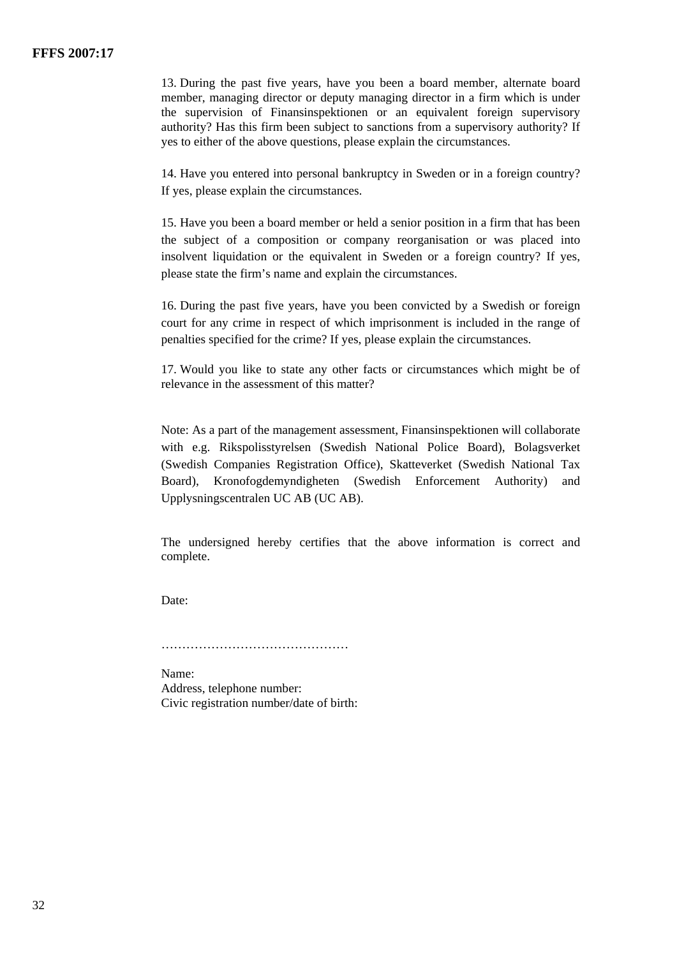## **FFFS 2007:17**

13. During the past five years, have you been a board member, alternate board member, managing director or deputy managing director in a firm which is under the supervision of Finansinspektionen or an equivalent foreign supervisory authority? Has this firm been subject to sanctions from a supervisory authority? If yes to either of the above questions, please explain the circumstances.

14. Have you entered into personal bankruptcy in Sweden or in a foreign country? If yes, please explain the circumstances.

15. Have you been a board member or held a senior position in a firm that has been the subject of a composition or company reorganisation or was placed into insolvent liquidation or the equivalent in Sweden or a foreign country? If yes, please state the firm's name and explain the circumstances.

16. During the past five years, have you been convicted by a Swedish or foreign court for any crime in respect of which imprisonment is included in the range of penalties specified for the crime? If yes, please explain the circumstances.

17. Would you like to state any other facts or circumstances which might be of relevance in the assessment of this matter?

Note: As a part of the management assessment, Finansinspektionen will collaborate with e.g. Rikspolisstyrelsen (Swedish National Police Board), Bolagsverket (Swedish Companies Registration Office), Skatteverket (Swedish National Tax Board), Kronofogdemyndigheten (Swedish Enforcement Authority) and Upplysningscentralen UC AB (UC AB).

The undersigned hereby certifies that the above information is correct and complete.

Date:

………………………………………

Name: Address, telephone number: Civic registration number/date of birth: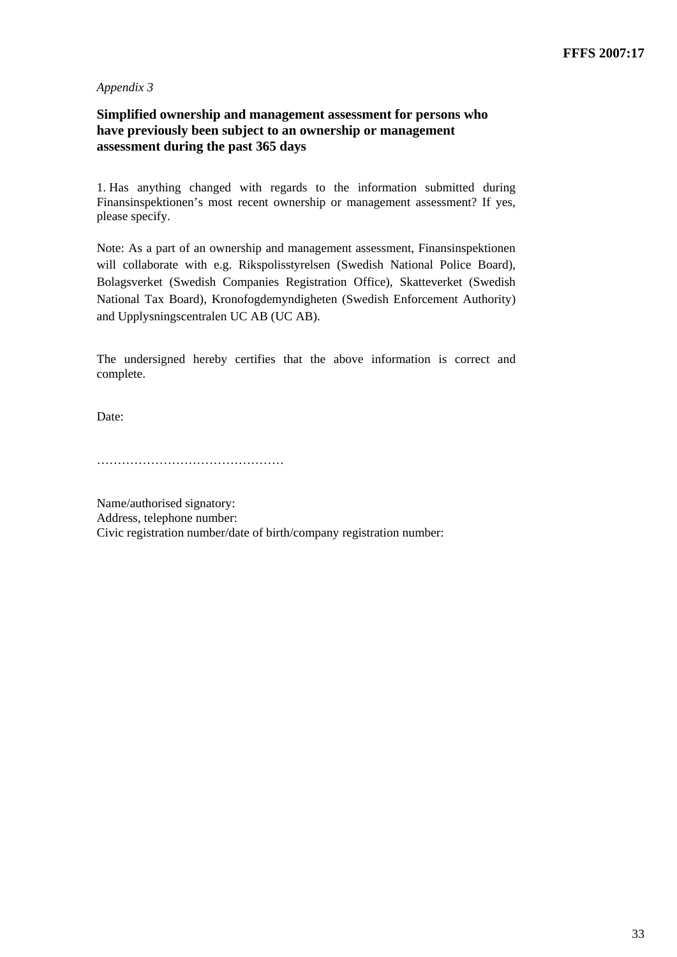## <span id="page-32-0"></span>*Appendix 3*

## **Simplified ownership and management assessment for persons who have previously been subject to an ownership or management assessment during the past 365 days**

1. Has anything changed with regards to the information submitted during Finansinspektionen's most recent ownership or management assessment? If yes, please specify.

Note: As a part of an ownership and management assessment, Finansinspektionen will collaborate with e.g. Rikspolisstyrelsen (Swedish National Police Board), Bolagsverket (Swedish Companies Registration Office), Skatteverket (Swedish National Tax Board), Kronofogdemyndigheten (Swedish Enforcement Authority) and Upplysningscentralen UC AB (UC AB).

The undersigned hereby certifies that the above information is correct and complete.

Date:

………………………………………………

Name/authorised signatory: Address, telephone number: Civic registration number/date of birth/company registration number: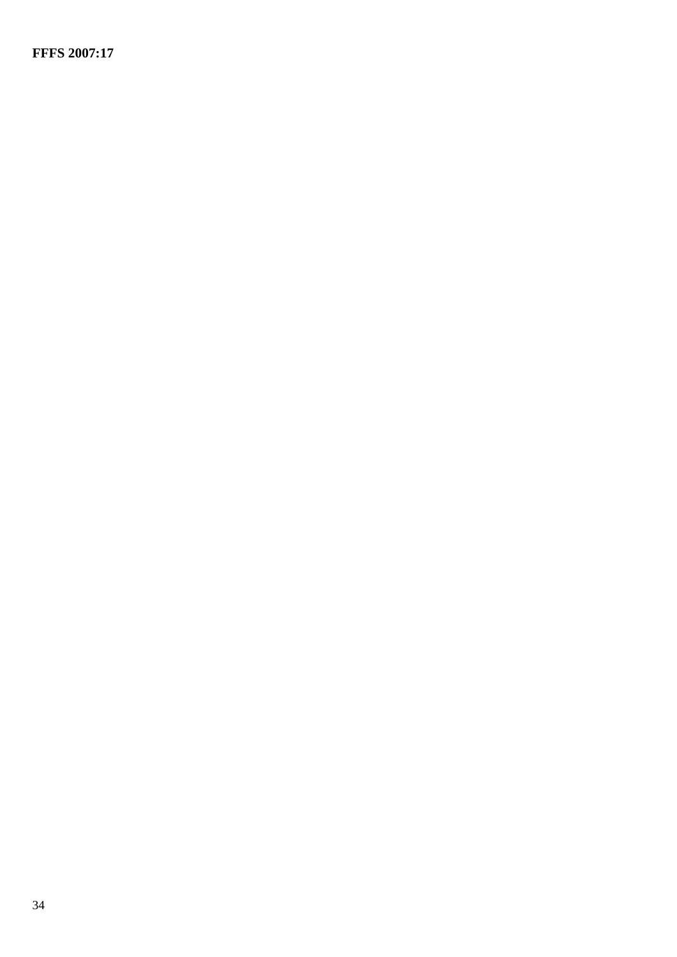**FFFS 2007:17**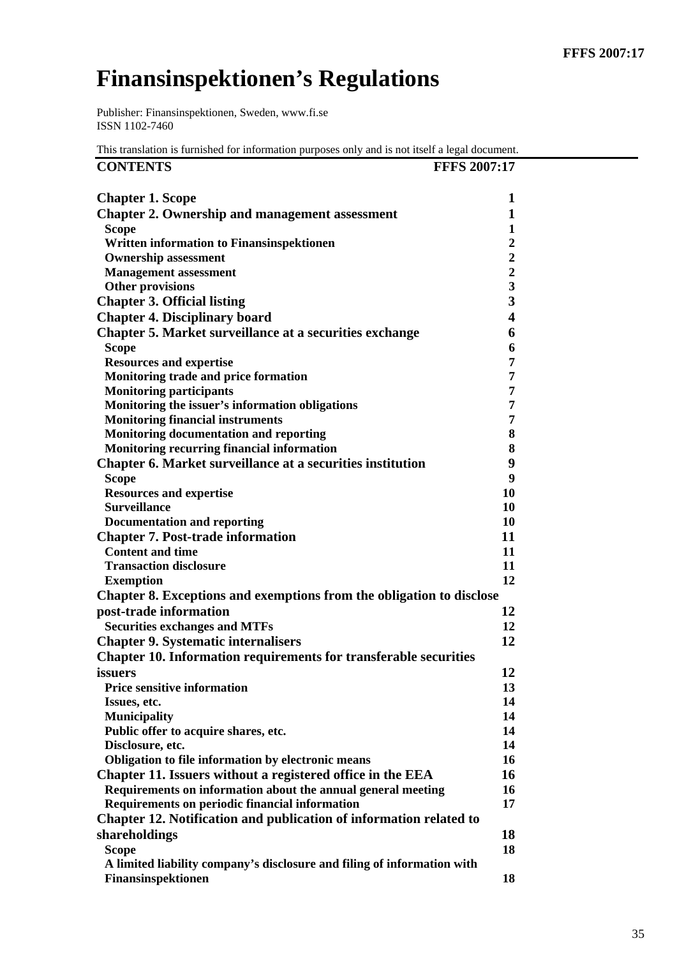# **Finansinspektionen's Regulations**

Publisher: Finansinspektionen, Sweden, www.fi.se ISSN 1102-7460

This translation is furnished for information purposes only and is not itself a legal document.

| <b>CONTENTS</b>                                                           | <b>FFFS 2007:17</b>     |
|---------------------------------------------------------------------------|-------------------------|
|                                                                           |                         |
| <b>Chapter 1. Scope</b>                                                   | 1                       |
| <b>Chapter 2. Ownership and management assessment</b>                     | 1                       |
| <b>Scope</b>                                                              | 1                       |
| Written information to Finansinspektionen                                 | $\boldsymbol{2}$        |
| <b>Ownership assessment</b>                                               | $\boldsymbol{2}$        |
| <b>Management</b> assessment                                              | $\overline{2}$          |
| <b>Other provisions</b>                                                   | $\mathbf{3}$            |
| <b>Chapter 3. Official listing</b>                                        | 3                       |
| <b>Chapter 4. Disciplinary board</b>                                      | $\overline{\mathbf{4}}$ |
|                                                                           | 6                       |
| Chapter 5. Market surveillance at a securities exchange                   |                         |
| <b>Scope</b>                                                              | 6                       |
| <b>Resources and expertise</b>                                            | 7                       |
| Monitoring trade and price formation                                      | 7<br>7                  |
| <b>Monitoring participants</b>                                            | 7                       |
| Monitoring the issuer's information obligations                           | 7                       |
| <b>Monitoring financial instruments</b>                                   | 8                       |
| Monitoring documentation and reporting                                    | 8                       |
| Monitoring recurring financial information                                | 9                       |
| <b>Chapter 6. Market surveillance at a securities institution</b>         | 9                       |
| <b>Scope</b>                                                              | 10                      |
| <b>Resources and expertise</b><br><b>Surveillance</b>                     | 10                      |
|                                                                           | 10                      |
| <b>Documentation and reporting</b>                                        | 11                      |
| <b>Chapter 7. Post-trade information</b><br><b>Content and time</b>       |                         |
| <b>Transaction disclosure</b>                                             | 11<br>11                |
|                                                                           | 12                      |
| <b>Exemption</b>                                                          |                         |
| Chapter 8. Exceptions and exemptions from the obligation to disclose      |                         |
| post-trade information                                                    | 12                      |
| <b>Securities exchanges and MTFs</b>                                      | 12                      |
| <b>Chapter 9. Systematic internalisers</b>                                | 12                      |
| Chapter 10. Information requirements for transferable securities          |                         |
| issuers                                                                   | 12                      |
| Price sensitive information                                               | 13                      |
| Issues, etc.                                                              | 14                      |
| <b>Municipality</b>                                                       | 14                      |
| Public offer to acquire shares, etc.                                      | 14                      |
| Disclosure, etc.                                                          | 14                      |
| Obligation to file information by electronic means                        | 16                      |
| Chapter 11. Issuers without a registered office in the EEA                | 16                      |
| Requirements on information about the annual general meeting              | 16                      |
| Requirements on periodic financial information                            | 17                      |
| <b>Chapter 12. Notification and publication of information related to</b> |                         |
| shareholdings                                                             | 18                      |
| <b>Scope</b>                                                              | 18                      |
| A limited liability company's disclosure and filing of information with   |                         |
| Finansinspektionen                                                        | 18                      |